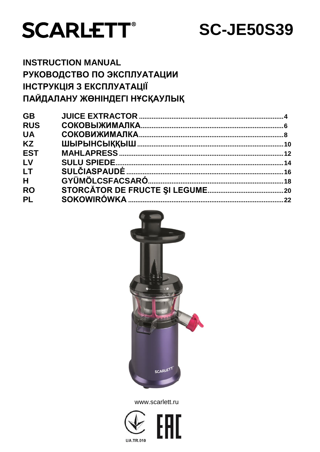

# **SC-JE50S39**

# **INSTRUCTION MANUAL** РУКОВОДСТВО ПО ЭКСПЛУАТАЦИИ **ІНСТРУКЦІЯ З ЕКСПЛУАТАЦІЇ** ПАЙДАЛАНУ ЖӨНІНДЕГІ НҰСҚАУЛЫҚ

| <b>GB</b>  |  |
|------------|--|
| <b>RUS</b> |  |
| <b>UA</b>  |  |
| <b>KZ</b>  |  |
| <b>EST</b> |  |
| LV         |  |
| LT         |  |
| H          |  |
| <b>RO</b>  |  |
| <b>PL</b>  |  |
|            |  |



www.scarlett.ru

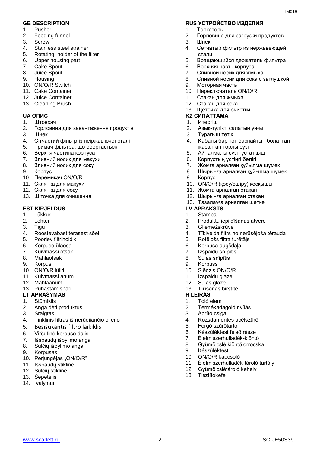- 1. Pusher
- 2. Feeding funnel
- 3. Screw
- 4. Stainless steel strainer
- 5. Rotating holder of the filter
- 6. Upper housing part
- 7. Cake Spout
- 8. Juice Spout
- 9. Housing
- 10. ON/O/R Switch
- 11. Cake Container
- 12. Juice Container
- 13. Cleaning Brush

- 1. Штовхач
- 2. Горловина для завантаження продуктів
- 3. Шнек
- 4. Сітчастий фільтр із неіржавіючої сталі
- 5. Тримач фільтра, що обертається
- 6. Верхня частина корпуса
- 7. Зливний носик для макухи
- 8. Зливний носик для соку
- 9. Корпус
- 10. Перемикач ON/O/R
- 11. Склянка для макухи
- 12. Склянка для соку
- 13. Щіточка для очищення

#### **EST KIRJELDUS**

- 1. Lükkur
- 2. Lehter
- 3. Tigu
- 4. Roostevabast terasest sõel
- 5. Pöörlev filtrihoidik
- 6. Korpuse ülaosa
- 7. Kuivmassi otsak
- 8. Mahlaotsak
- 9. Korpus
- 10. ON/O/R lüliti
- 11. Kuivmassi anum
- 12. Mahlaanum
- 13. Puhastamishari

#### **LT** APRAŠYMAS

- 1. Stūmiklis
- 2. Anga dėti produktus
- 3. Sraigtas
- 4. Tinklinis filtras iš nerūdijančio plieno
- 5. Besisukantis filtro laikiklis
- 6. Viršutinė korpuso dalis
- 7. Išspaudų išpylimo anga
- 8. Sulčių išpylimo anga
- 9. Korpusas
- 10. Perjungėjas "ON/O/R"
- 11. Išspaudų stiklinė
- 12. Sulčių stiklinė
- 13. Šepetėlis
- 14. valymui

#### **GB DESCRIPTION RUS УСТРОЙСТВО ИЗДЕЛИЯ**

- 1. Толкатель
- 2. Горловина для загрузки продуктов

 $IMA01Q$ 

- 3. Шнек
- 4. Сетчатый фильтр из нержавеющей стали
- 5. Bращающийся держатель фильтра
- 6. Верхняя часть корпуса
- 7. Сливной носик для жмыха
- 8. Сливной носик для сока с заглушкой
- 9. Моторная часть
- 10. Переключатель ON/O/R
- 11. Стакан для жмыха
- 12. Стакан для сока
- 13. Щеточка для очистки

#### **UA ОПИС KZ СИПАТТАМА**

- 1. Итергіш
- 2. Азық-түлікті салатын ұңғы
- 3. Турағыш тетік
- 4. Kабаты бар тот баспайтын болаттан жасалған торлы сүзгі
- 5. Айналмалы сүзгі ұстатқыш
- 6. Корпустың үстіңгі бөлігі
- 7. Жомға арналған құйылма шүмек
- 8. Шырынға арналған құйылма шүмек
- 9. Корпус
- 10. ON/O/R (қосу/өшіру) қосқышы
- 11. Жомға арналған стақан
- 12. Шырынға арналған стақан
- 13. Тазалауға арналған шөтке

- 1. Stampa
- 2. Produktu iepildīšanas atvere
- 3. Gliemežskrūve
- 4. Tīklveida filtrs no nerūsējoša tērauda
- 5. Rotējošs filtra turētājs
- 6. Korpusa augšdaļa
- 7. Izspaidu snīpītis
- 8. Sulas snīpītis
- 9. Korpuss
- 10. Slēdzis ON/O/R
- 11. Izspaidu glāze

3. Aprító csiga

9. Készüléktest 10. ON/O/R kapcsoló

13. Tisztítókefe

5. Forgó szűrőtartó

- 12. Sulas glāze
- 13. Tīrīšanas birstīte

2. Termékadagoló nyílás

4. Rozsdamentes acélszűrő

6. Készüléktest felső része 7. Élelmiszerhulladék-kiöntő<br>8. Gyümölcslé kiöntő orrocsk 8. Gyümölcslé kiöntő orrocska

12. Gyümölcslétároló kehely

11. Élelmiszerhulladék-tároló tartály

## 1. Toló elem

www.scarlett.ru SC-JE50S39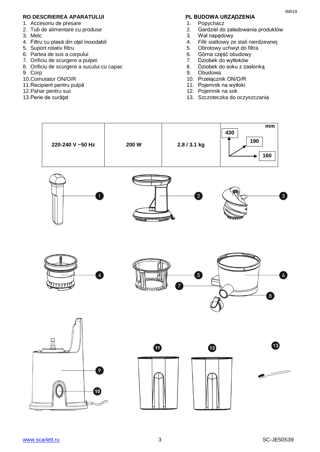#### **RO DESCRIEREA APARATULUI PL BUDOWA URZĄDZENIA**

- 1. Accesoriu de presare
- 2. Tub de alimentare cu produse
- 3. Melc
- 4. Filtru cu plasă din oţel inoxidabil
- 5. Suport rotativ filtru
- 6. Partea de sus a corpului
- 7. Orificiu de scurgere a pulpei
- 8. Orificiu de scurgere a sucului cu capac
- 9. Corp
- 10.Comutator ON/O/R
- 11.Recipient pentru pulpă
- 12.Pahar pentru suc
- 13.Perie de curăţat

- 1. Popychacz<br>2. Gardziel do
- 2. Gardziel do załadowania produktów
- 3. Wał napędowy
- 4. Filtr siatkowy ze stali nierdzewnej
- 5. Obrotowy uchwyt do filtra
- 6. Górna część obudowy
- 7. Dziobek do wytłoków
- 8. Dziobek do soku z zasłonką
- 9. Obudowa
- 10. Przełącznik ON/O/R
- 11. Pojemnik na wytłoki
- 12. Pojemnik na sok
- 13. Szczoteczka do oczyszczania

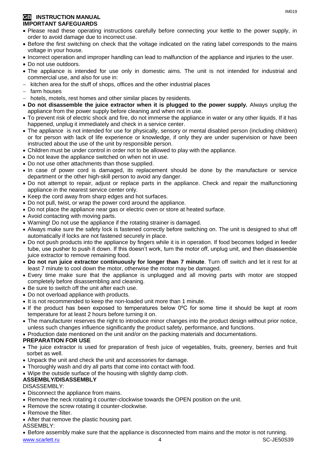#### **GB INSTRUCTION MANUAL IMPORTANT SAFEGUARDS**

- Please read these operating instructions carefully before connecting your kettle to the power supply, in order to avoid damage due to incorrect use.
- Before the first switching on check that the voltage indicated on the rating label corresponds to the mains voltage in your house.
- Incorrect operation and improper handling can lead to malfunction of the appliance and injuries to the user.
- Do not use outdoors.
- The appliance is intended for use only in domestic aims. The unit is not intended for industrial and commercial use, and also for use in:
- kitchen area for the stuff of shops, offices and the other industrial places
- $-$  farm houses
- hotels, motels, rest homes and other similar places by residents.
- **Do not disassemble the juice extractor when it is plugged to the power supply.** Always unplug the appliance from the power supply before cleaning and when not in use.
- To prevent risk of electric shock and fire, do not immerse the appliance in water or any other liquids. If it has happened, unplug it immediately and check in a service center.
- The appliance is not intended for use for [physically, sensory or mental disabled](https://www.multitran.ru/c/m.exe?t=5841801_1_2&s1=%F7%E5%EB%EE%E2%E5%EA%20%F1%20%EE%E3%F0%E0%ED%E8%F7%E5%ED%ED%FB%EC%E8%20%E2%EE%E7%EC%EE%E6%ED%EE%F1%F2%FF%EC%E8) person (including children) or for person with lack of life experience or knowledge, if only they are under supervision or have been instructed about the use of the unit by responsible person.
- Children must be under control in order not to be allowed to play with the appliance.
- Do not leave the appliance switched on when not in use.
- Do not use other attachments than those supplied.
- In case of power cord is damaged, its replacement should be done by the manufacture or service department or the other high-skill person to avoid any danger.
- Do not attempt to repair, adjust or replace parts in the appliance. Check and repair the malfunctioning appliance in the nearest service center only.
- Keep the cord away from sharp edges and hot surfaces.
- Do not pull, twist, or wrap the power cord around the appliance.
- Do not place the appliance near gas or electric oven or store at heated surface.
- Avoid contacting with moving parts.
- Warning! Do not use the appliance if the rotating strainer is damaged.
- Always make sure the safety lock is fastened correctly before switching on. The unit is designed to shut off automatically if locks are not fastened securely in place.
- Do not push products into the appliance by fingers while it is in operation. If food becomes lodged in feeder tube, use pusher to push it down. If this doesn't work, turn the motor off, unplug unit, and then disassemble juice extractor to remove remaining food.
- **Do not run juice extractor continuously for longer than 7 minute**. Turn off switch and let it rest for at least 7 minute to cool down the motor, otherwise the motor may be damaged.
- Every time make sure that the appliance is unplugged and all moving parts with motor are stopped completely before disassembling and cleaning.
- Be sure to switch off the unit after each use.
- Do not overload appliance with products.
- It is not recommended to keep the non-loaded unit more than 1 minute.
- If the product has been exposed to temperatures below 0ºC for some time it should be kept at room temperature for at least 2 hours before turning it on.
- The manufacturer reserves the right to introduce minor changes into the product design without prior notice, unless such changes influence significantly the product safety, performance, and functions.
- Production date mentioned on the unit and/or on the packing materials and documentations.

#### **PREPARATION FOR USE**

- The juice extractor is used for preparation of fresh juice of vegetables, fruits, greenery, berries and fruit sorbet as well.
- Unpack the unit and check the unit and accessories for damage.
- Thoroughly wash and dry all parts that come into contact with food.
- Wipe the outside surface of the housing with slightly damp cloth.

#### **ASSEMBLY/DISASSEMBLY**

DISASSEMBLY:

- Disconnect the appliance from mains.
- Remove the neck rotating it counter-clockwise towards the OPEN position on the unit.
- Remove the screw rotating it counter-clockwise.
- Remove the filter.
- After that remove the plastic housing part.
- ASSEMBLY:

www.scarlett.ru 4 SC-JE50S39 Before assembly make sure that the appliance is disconnected from mains and the motor is not running.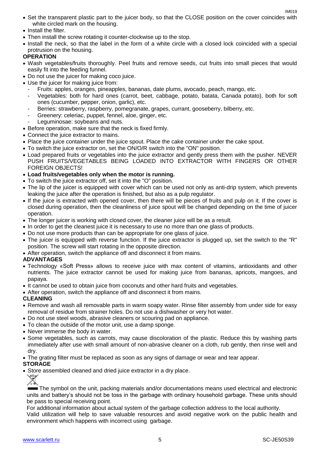- Set the transparent plastic part to the juicer body, so that the CLOSE position on the cover coincides with white circled mark on the housing.
- Install the filter.
- Then install the screw rotating it counter-clockwise up to the stop.
- Install the neck, so that the label in the form of a white circle with a closed lock coincided with a special protrusion on the housing.

#### **OPERATION**

- Wash vegetables/fruits thoroughly. Peel fruits and remove seeds, cut fruits into small pieces that would easily fit into the feeding funnel.
- Do not use the juicer for making coco juice.
- Use the juicer for making juice from:
	- Fruits: apples, oranges, pineapples, bananas, date plums, avocado, peach, mango, etc.
	- Vegetables: both for hard ones (carrot, beet, cabbage, potato, batata, Canada potato), both for soft ones (cucumber, pepper, onion, garlic), etc.
	- Berries: strawberry, raspberry, pomegranate, grapes, currant, gooseberry, bilberry, etc.
	- Greenery: celeriac, puppet, fennel, aloe, ginger, etc.
	- Leguminosae: soybeans and nuts.
- Before operation, make sure that the neck is fixed firmly.
- Connect the juice extractor to mains.
- Place the juice container under the juice spout. Place the cake container under the cake spout.
- To switch the juice extractor on, set the ON/O/R switch into the "ON" position.
- Load prepared fruits or vegetables into the juice extractor and gently press them with the pusher. NEVER PUSH FRUITS/VEGETABLES BEING LOADED INTO EXTRACTOR WITH FINGERS OR OTHER FOREIGN OBJECTS!
- **Load fruits/vegetables only when the motor is running.**
- To switch the juice extractor off, set it into the "O" position.
- The lip of the juicer is equipped with cover which can be used not only as anti-drip system, which prevents leaking the juice after the operation is finished, but also as a pulp regulator.
- If the juice is extracted with opened cover, then there will be pieces of fruits and pulp on it. If the cover is closed during operation, then the cleanliness of juice spout will be changed depending on the time of juicer operation.
- The longer juicer is working with closed cover, the cleaner juice will be as a result.
- In order to get the cleanest juice it is necessary to use no more than one glass of products.
- Do not use more products than can be appropriate for one glass of juice.
- The juicer is equipped with reverse function. If the juice extractor is plugged up, set the switch to the "R" position. The screw will start rotating in the opposite direction.
- After operation, switch the appliance off and disconnect it from mains.

#### **ADVANTAGES**

- Technology «Soft Press» allows to receive juice with max content of vitamins, antioxidants and other nutrients. The juice extractor cannot be used for making juice from bananas, apricots, mangoes, and papaya.
- It cannot be used to obtain juice from coconuts and other hard fruits and vegetables.
- After operation, switch the appliance off and disconnect it from mains.

#### **CLEANING**

- Remove and wash all removable parts in warm soapy water. Rinse filter assembly from under side for easy removal of residue from strainer holes. Do not use a dishwasher or very hot water.
- Do not use steel woods, abrasive cleaners or scouring pad on appliance.
- To clean the outside of the motor unit, use a damp sponge.
- Never immerse the body in water.
- Some vegetables, such as carrots, may cause discoloration of the plastic. Reduce this by washing parts immediately after use with small amount of non-abrasive cleaner on a cloth, rub gently, then rinse well and dry.
- The grating filter must be replaced as soon as any signs of damage or wear and tear appear.

#### **STORAGE**

• Store assembled cleaned and dried juice extractor in a dry place.

The symbol on the unit, packing materials and/or documentations means used electrical and electronic units and battery's should not be toss in the garbage with ordinary household garbage. These units should be pass to special receiving point.

For additional information about actual system of the garbage collection address to the local authority.

Valid utilization will help to save valuable resources and avoid negative work on the public health and environment which happens with incorrect using garbage.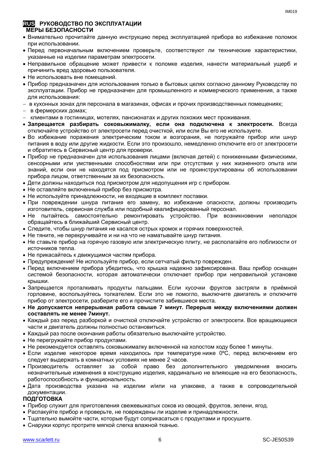#### **RUS РУКОВОДСТВО ПО ЭКСПЛУАТАЦИИ МЕРЫ БЕЗОПАСНОСТИ**

- Внимательно прочитайте данную инструкцию перед эксплуатацией прибора во избежание поломок при использовании.
- Перед первоначальным включением проверьте, соответствуют ли технические характеристики, указанные на изделии параметрам электросети.
- Неправильное обращение может привести к поломке изделия, нанести материальный ущерб и причинить вред здоровью пользователя.
- Не использовать вне помещений.
- Прибор предназначен для использования только в бытовых целях согласно данному Руководству по эксплуатации. Прибор не предназначен для промышленного и коммерческого применения, а также для использования:
- в кухонных зонах для персонала в магазинах, офисах и прочих производственных помещениях;
- в фермерских домах;
- клиентами в гостиницах, мотелях, пансионатах и других похожих мест проживания.
- **Запрещается разбирать соковыжималку, если она подключена к электросети.** Всегда отключайте устройство от электросети перед очисткой, или если Вы его не используете.
- Во избежание поражения электрическим током и возгорания, не погружайте прибор или шнур питания в воду или другие жидкости. Если это произошло, немедленно отключите его от электросети и обратитесь в Сервисный центр для проверки.
- Прибор не предназначен для использования лицами (включая детей) с пониженными физическими, сенсорными или умственными способностями или при отсутствии у них жизненного опыта или знаний, если они не находятся под присмотром или не проинструктированы об использовании прибора лицом, ответственным за их безопасность.
- Дети должны находиться под присмотром для недопущения игр с прибором.
- Не оставляйте включенный прибор без присмотра.
- Не используйте принадлежности, не входящие в комплект поставки.
- При повреждении шнура питания его замену, во избежание опасности, должны производить изготовитель, сервисная служба или подобный квалифицированный персонал.
- Не пытайтесь самостоятельно ремонтировать устройство. При возникновении неполадок обращайтесь в ближайший Сервисный центр.
- Следите, чтобы шнур питания не касался острых кромок и горячих поверхностей.
- Не тяните, не перекручивайте и ни на что не наматывайте шнур питания.
- Не ставьте прибор на горячую газовую или электрическую плиту, не располагайте его поблизости от источников тепла.
- Не прикасайтесь к движущимся частям прибора.
- Предупреждение! Не используйте прибор, если сетчатый фильтр поврежден.
- Перед включением прибора убедитесь, что крышка надежно зафиксирована. Ваш прибор оснащен системой безопасности, которая автоматически отключает прибор при неправильной установке крышки.
- Запрещается проталкивать продукты пальцами. Если кусочки фруктов застряли в приёмной горловине, воспользуйтесь толкателем. Если это не помогло, выключите двигатель и отключите прибор от электросети, разберите его и прочистите забившиеся места.
- **Не допускается непрерывная работа свыше 7 минут. Перерыв между включениями должен составлять не менее 7минут.**
- Каждый раз перед разборкой и очисткой отключайте устройство от электросети. Все вращающиеся части и двигатель должны полностью остановиться.
- Каждый раз после окончания работы обязательно выключайте устройство.
- Не перегружайте прибор продуктами.
- Не рекомендуется оставлять соковыжималку включенной на холостом ходу более 1 минуты.
- Если изделие некоторое время находилось при температуре ниже 0°С, перед включением его следует выдержать в комнатных условиях не менее 2 часов.
- Производитель оставляет за собой право без дополнительного уведомления вносить незначительные изменения в конструкцию изделия, кардинально не влияющие на его безопасность, работоспособность и функциональность.
- Дата производства указана на изделии и/или на упаковке, а также в сопроводительной документации.

#### **ПОДГОТОВКА**

- Прибор служит для приготовления свежевыжатых соков из овощей, фруктов, зелени, ягод.
- Распакуйте прибор и проверьте, не повреждены ли изделие и принадлежности.
- Тщательно вымойте части, которые будут соприкасаться с продуктами и просушите.
- Снаружи корпус протрите мягкой слегка влажной тканью.

IM<sub>019</sub>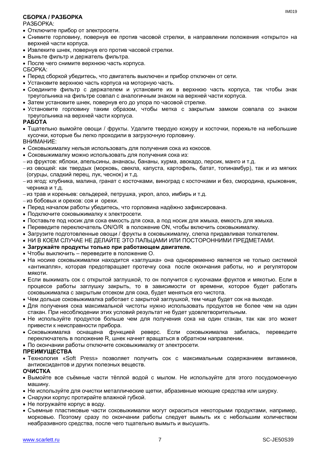#### **СБОРКА / РАЗБОРКА**

#### РАЗБОРКА:

- Отключите прибор от электросети.
- Снимите горловину, повернув ее против часовой стрелки, в направлении положения «открыто» на верхней части корпуса.
- Извлеките шнек, повернув его против часовой стрелки.
- Выньте фильтр и держатель фильтра.
- После чего снимите верхнюю часть корпуса.

СБОРКА:

- Перед сборкой убедитесь, что двигатель выключен и прибор отключен от сети.
- Установите верхнюю часть корпуса на моторную часть.
- Соедините фильтр с держателем и установите их в верхнюю часть корпуса, так чтобы знак треугольника на фильтре совпал с аналогичным знаком на верхней части корпуса.
- Затем установите шнек, повернув его до упора по часовой стрелке.
- Установите горловину таким образом, чтобы метка с закрытым замком совпала со знаком треугольника на верхней части корпуса.

#### **РАБОТА**

- Тщательно вымойте овощи / фрукты. Удалите твердую кожуру и косточки, порежьте на небольшие кусочки, которые бы легко проходили в загрузочную горловину. ВНИМАНИЕ:
- Соковыжималку нельзя использовать для получения сокa из кокосов.
- Соковыжималку можно использовать для получения сока из:
- из фруктов: яблоки, апельсины, ананасы, бананы, хурма, авокадо, персик, манго и т.д.
- из овошей: как твердых (морковь, свекла, капуста, картофель, батат, топинамбур), так и из мягких (огурцы, сладкий перец, лук, чеснок) и т.д.
- из ягод: клубника, малина, гранат с косточками, виноград с косточками и без, смородина, крыжовник, черника и т.д.
- из трав и кореньев: сельдерей, петрушка, укроп, алоэ, имбирь и т.д.
- из бобовых и орехов: соя и орехи.
- Перед началом работы убедитесь, что горловина надёжно зафиксирована.
- Подключите соковыжималку к электросети.
- Поставьте под носик для сока емкость для сока, а под носик для жмыха, емкость для жмыха.
- Переведите переключатель ON/O/R в положение ON, чтобы включить соковыжималку.
- Загрузите подготовленные овощи / фрукты в соковыжималку, слегка придавливая толкателем.
- НИ В КОЕМ СЛУЧАЕ НЕ ДЕЛАЙТЕ ЭТО ПАЛЬЦАМИ ИЛИ ПОСТОРОННИМИ ПРЕДМЕТАМИ.

#### **Загружайте продукты только при работающем двигателе.**

- Чтобы выключить переведите в положение O.
- На носике соковыжималки находится «заглушка» она одновременно является не только системой «антикапля», которая предотвращает протечку сока после окончания работы, но и регулятором мякоти.
- Если выжимать сок с открытой заглушкой, то он получится с кусочками фруктов и мякотью. Если в процессе работы заглушку закрыть, то в зависимости от времени, которое будет работать соковыжималка с закрытым отсеком для сока, будет меняться его чистота.
- Чем дольше соковыжималка работает с закрытой заглушкой, тем чище будет сок на выходе.
- Для получения сока максимальной чистоты нужно использовать продуктов не более чем на один стакан. При несоблюдении этих условий результат не будет удовлетворительным.
- Не используйте продуктов больше чем для получения сока на один стакан, так как это может привести к неисправности прибора.
- Соковыжималка оснащена функцией реверс. Если соковыжималка забилась, переведите переключатель в положение R, шнек начнет вращаться в обратном направлении.
- По окончании работы отключите соковыжималку от электросети.

#### **ПРЕИМУЩЕСТВА**

 Технология «Soft Press» позволяет получить сок с максимальным содержанием витаминов, антиоксидантов и других полезных веществ.

#### **ОЧИСТКА**

- Вымойте все съёмные части тёплой водой с мылом. Не используйте для этого посудомоечную машину.
- Не используйте для очистки металлические щетки, абразивные моющие средства или шкурку.
- Снаружи корпус протирайте влажной губкой.
- Не погружайте корпус в воду.
- Съемные пластиковые части соковыжималки могут окраситься некоторыми продуктами, например, морковью. Поэтому сразу по окончании работы следует вымыть их с небольшим количеством неабразивного средства, после чего тщательно вымыть и высушить.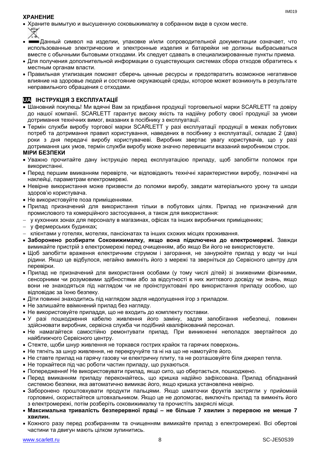#### **ХРАНЕНИЕ**

- Храните вымытую и высушенную соковыжималку в собранном виде в сухом месте.
- Данный символ на изделии, упаковке и/или сопроводительной документации означает, что использованные электрические и электронные изделия и батарейки не должны выбрасываться вместе с обычными бытовыми отходами. Их следует сдавать в специализированные пункты приема.
- Для получения дополнительной информации о существующих системах сбора отходов обратитесь к местным органам власти.
- Правильная утилизация поможет сберечь ценные ресурсы и предотвратить возможное негативное влияние на здоровье людей и состояние окружающей среды, которое может возникнуть в результате неправильного обращения с отходами.

### **UA ІНСТРУКЦІЯ З ЕКСПЛУАТАЦІЇ**

- Шановний покупець! Ми вдячні Вам за придбання продукції торговельної марки SCARLETT та довіру до нашої компанії. SCARLETT гарантує високу якість та надійну роботу своєї продукції за умови дотримання технічних вимог, вказаних в посібнику з експлуатації.
- Термін служби виробу торгової марки SCARLETT у разі експлуатації продукції в межах побутових потреб та дотримання правил користування, наведених в посібнику з експлуатації, складає 2 (два) роки з дня передачі виробу користувачеві. Виробник звертає увагу користувачів, що у разі дотримання цих умов, термін служби виробу може значно перевищити вказаний виробником строк.

#### **МІРИ БЕЗПЕКИ**

- Уважно прочитайте дану інструкцію перед експлуатацією приладу, щоб запобігти поломок при використанні.
- Перед першим вмиканням перевірте, чи відповідають технічні характеристики виробу, позначені на наклейці, параметрам електромережі.
- Невiрне використання може призвести до поломки виробу, завдати матеріального урону та шкоди здоров'ю користувача.
- Не використовуйте поза приміщеннями.
- Прилад призначений для використання тільки в побутових цілях. Прилад не призначений для промислового та комерційного застосування, а також для використання:
- у кухонних зонах для персоналу в магазинах, офісах та інших виробничих приміщеннях;
- у фермерських будинках;
- клієнтами у готелях, мотелях, пансіонатах та інших схожих місцях проживання.
- **Заборонено розбирати Соковижималку, якщо вона підключена до електромережі.** Завжди вимикайте пристрій з електромережі перед очищенням, або якщо Ви його не використовуєте.
- Щоб запобігти враження електричним струмом і загорання, не занурюйте прилад у воду чи інші рідини. Якщо це відбулося, негайно вимкніть його з мережі та зверніться до Сервісного центру для перевірки.
- Прилад не призначений для використання особами (у тому числі дітей) зі зниженими фізичними, сенсорними чи розумовими здібностями або за відсутності в них життєвого досвіду чи знань, якщо вони не знаходяться під наглядом чи не проінструктовані про використання приладу особою, що відповідає за їхню безпеку.
- Діти повинні знаходитись під наглядом задля недопущення ігор з приладом.
- Не залишайте ввімкнений прилад без нагляду.
- Не використовуйте приладдя, що не входить до комплекту поставки.
- У разі пошкодження кабелю живлення його заміну, задля запобігання небезпеці, повинен здійснювати виробник, сервісна служба чи подібний кваліфікований персонал.
- Не намагайтеся самостійно ремонтувати прилад. При виникненні неполадок звертайтеся до найближчого Сервісного центру.
- Стежте, щоби шнур живлення не торкався гострих крайок та гарячих поверхонь.
- Не тягніть за шнур живлення, не перекручуйте та ні на що не намотуйте його.
- Не ставте прилад на гарячу газову чи електричну плиту, та не розташовуйте біля джерел тепла.
- Не торкайтеся під час роботи частин приладу, що рухаються.
- Попередження! Не використовувати прилад, якщо сито, що обертається, пошкоджено.
- Перед вмиканням приладу переконайтесь, що кришка надійно зафіксована. Прилад обладнаний системою безпеки, яка автоматично вимикає його, якщо кришка установлена невірно.
- Заборонено проштовхувати продукти пальцями. Якщо шматочки фруктів застрягли у прийомній горловині, скористайтеся штовхальником. Якщо це не допомогає, виключіть прилад та вимкніть його з електромережі, потім розберіть соковижималку та прочистіть захряслі місця.
- **Максимальна тривалість безперервної праці – не більше 7 хвилин з перервою не менше 7 хвилин.**
- Кожного разу перед розбиранням та очищенням вимикайте прилад з електромережі. Всі обертові частини та двигун мають цілком зупинитись.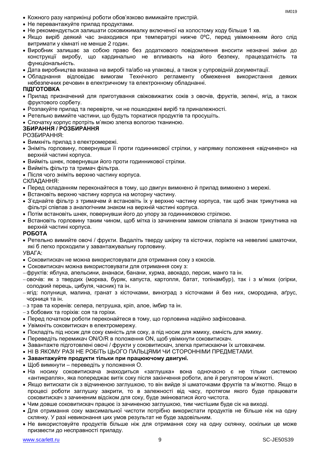- Кожного разу наприкінці роботи обов'язково вимикайте пристрій.
- Не перевантажуйте прилад продуктами.
- Не рекомендується залишати соковижималку включеної на холостому ходу більше 1 хв.
- Якщо виріб деякий час знаходився при температурі нижче 0ºC, перед увімкненням його слід витримати у кімнаті не менше 2 годин.
- Виробник залишає за собою право без додаткового повідомлення вносити незначні зміни до конструкції виробу, що кардинально не впливають на його безпеку, працездатність та функціональність.
- Дата виробництва вказана на виробі та/або на упаковці, а також у супровідній документації.
- Обладнання відповідає вимогам Технічного регламенту обмеження використання деяких небезпечних речовин в електричному та електронному обладнанні.

#### **ПІДГОТОВКА**

- Прилад призначений для приготування свіжовижатих соків з овочів, фруктів, зелені, ягід, а також фруктового сорбету.
- Розпакуйте прилад та перевірте, чи не пошкоджені виріб та приналежності.
- Ретельно вимийте частини, що будуть торкатися продуктів та просушіть.
- Спочатку корпус протріть м'якою злегка вологою тканиною.

#### **ЗБИРАННЯ / РОЗБИРАННЯ**

РОЗБИРАННЯ:

- Вимкніть прилад з електромережі.
- Зніміть горловину, повернувши її проти годинникової стрілки, у напрямку положення «відчинено» на верхній частині корпуса.
- Вийміть шнек, повернувши його проти годинникової стрілки.
- Вийміть фільтр та тримач фільтра.
- Після чого зніміть верхню частину корпуса.

СКЛАДАННЯ:

- Перед складанням переконайтеся в тому, що двигун вимкнено й прилад вимкнено з мережі.
- Встановіть верхню частину корпуса на моторну частину.
- З'єднайте фільтр з тримачем й встановіть їх у верхню частину корпуса, так щоб знак трикутника на фільтрі співпав з аналогічним знаком на верхній частині корпуса.
- Потім встановіть шнек, повернувши його до упору за годинниковою стрілкою.
- Встановіть горловину таким чином, щоб мітка із зачиненим замком співпала зі знаком трикутника на верхній частині корпуса.

#### **РОБОТА**

 Ретельно вимийте овочі / фрукти. Видаліть тверду шкірку та кісточки, поріжте на невеликі шматочки, які б легко проходили у завантажувальну горловину.

УВАГА:

- Соковитискач не можна використовувати для отримання соку з кокосів.
- Соковитискач можна використовувати для отримання соку з:
- фруктів: яблука, апельсини, ананаси, банани, хурма, авокадо, персик, манго та ін.
- овочів: як з твердих (морква, буряк, капуста, картопля, батат, топінамбур), так і з м'яких (огірки, солодкий перець, цибуля, часник) та ін.
- ягід: полуниця, малина, гранат з кісточками, виноград з кісточками й без них, смородина, аґрус, чорниця та ін.
- з трав та коренів: селера, петрушка, кріп, алое, імбир та ін.
- з бобових та горіхів: соя та горіхи.
- Перед початком роботи переконайтеся в тому, що горловина надійно зафіксована.
- Увімкніть соковитискач в електромережу.
- Покладіть під носик для соку ємність для соку, а під носик для жмиху, ємність для жмиху.
- Переведіть перемикач ON/O/R в положення ON, щоб увімкнути соковитискач.
- Завантажте підготовлені овочі / фрукти у соковитискач, злегка притискаючи їх штовхачем.
- НІ В ЯКОМУ РАЗІ НЕ РОБІТЬ ЦЬОГО ПАЛЬЦЯМИ ЧИ СТОРОННІМИ ПРЕДМЕТАМИ.

#### **Завантажуйте продукти тільки при працюючому двигуні.**

- Щоб вимкнути переведіть у положення O.
- На носику соковитискача знаходиться «заглушка» вона одночасно є не тільки системою «антикрапля», яка попереджає витік соку після закінчення роботи, але й регулятором м'якоті.
- Якщо витискати сік з відчиненою заглушкою, то він вийде зі шматочками фруктів та м'якоттю. Якщо в процесі роботи заглушку закрити, то в залежності від часу, протягом якого буде працювати соковитискач з зачиненим відсіком для соку, буде змінюватися його чистота.
- Чим довше соковитискач працює із зачиненою заглушкою, тим чистішим буде сік на виході.
- Для отримання соку максимальної чистоти потрібно використати продуктів не більше ніж на одну склянку. У разі невиконання цих умов результат не буде задовільним.
- Не використовуйте продуктів більше ніж для отримання соку на одну склянку, оскільки це може призвести до несправності приладу.

IM019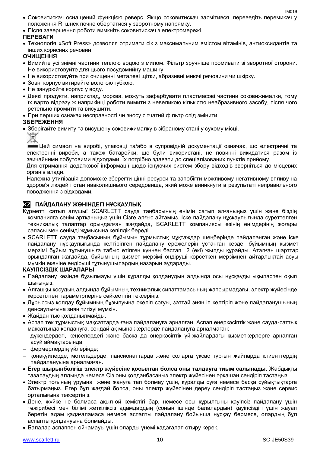- Соковитискач оснащений функцією реверс. Якщо соковитискач засмітився, переведіть перемикач у положення R, шнек почне обертатися у зворотному напрямку.
- Після завершення роботи вимкніть соковитискач з електромережі.

#### **ПЕРЕВАГИ**

 Технологія «Soft Press» дозволяє отримати сік з максимальним вмістом вітамінів, антиоксидантів та інших корисних речовин.

#### **ОЧИЩЕННЯ**

- Вимийте усі знімні частини теплою водою з милом. Фільтр зручніше промивати зі зворотної сторони. Не використовуйте для цього посудомийну машину.
- Не використовуйте при очищенні металеві щітки, абразивні миючі речовини чи шкірку.
- Зовні корпус витирайте вологою губкою.
- Не занурюйте корпус у воду.
- Деякі продукти, наприклад, морква, можуть зафарбувати пластмасові частини соковижималки, тому їх варто відразу ж наприкінці роботи вимити з невеликою кількістю неабразивного засобу, після чого ретельно промити та висушити.
- При перших ознаках несправності чи зносу сітчатий фільтр слід змінити.

#### **ЗБЕРЕЖЕННЯ**

Зберігайте вимиту та висушену соковижималку в зібраному стані у сухому місці.

Цей символ на виробі, упаковці та/або в супровідній документації означає, що електричні та електронні вироби, а також батарейки, що були використані, не повинні викидатися разом із звичайними побутовими відходами. Їх потрібно здавати до спеціалізованих пунктів прийому.

Для отримання додаткової інформації щодо існуючих систем збору відходів зверніться до місцевих органів влади.

Належна утилізація допоможе зберегти цінні ресурси та запобігти можливому негативному впливу на здоров'я людей і стан навколишнього середовища, який може виникнути в результаті неправильного поводження з відходами.

#### **KZ ПАЙДАЛАНУ ЖӨНІНДЕГІ НҰСҚАУЛЫҚ**

- Құрметті сатып алушы! SCARLETT сауда таңбасының өнімін сатып алғаныңыз үшін және біздің компанияға сенім артқаныңыз үшін Сізге алғыс айтамыз. Іске пайдалану нұсқаулығында суреттелген техникалық талаптар орындалған жағдайда, SCARLETT компаниясы өзінің өнімдерінің жоғары сапасы мен сенімді жұмысына кепілдік береді.
- SCARLETT сауда таңбасының бұйымын тұрмыстық мұқтаждар шеңберінде пайдаланған және іске пайдалану нұсқаулығында келтірілген пайдалану ережелерін ұстанған кезде, бұйымның қызмет мерзімі бұйым тұтынушыға табыс етілген күннен бастап 2 (екі) жылды құрайды. Аталған шарттар орындалған жағдайда, бұйымның қызмет мерзімі өндіруші көрсеткен мерзімнен айтарлықтай асуы мүмкін екеніне өндіруші тұтынушылардың назарын аударады.

#### **ҚАУІПСІЗДІК ШАРАЛАРЫ**

- Пайдалану кезінде бұзылмауы үшін құралды қолданудың алдында осы нұсқауды ықыласпен оқып шығыңыз.
- Алғашқы қосудың алдында бұйымның техникалық сипаттамасының жапсырмадағы, электр жүйесінде көрсетілген параметрлеріне сәйкестігін тексеріңіз.
- Дұрыссыз қолдау бұйымның бұзылуына әкеліп соғуы, заттай зиян іп келтіріп және пайдаланушының денсаулығына зиян тигізуі мүмкін.
- Жайдан тыс қолданылмайды.
- Аспап тек тұрмыстық мақсаттарда ғана пайдалануға арналған. Аспап өнеркәсіптік және сауда-саттық мақсатында қолдануға, сондай-ақ мына жерлерде пайдалануға арналмаған:
- дүкендердегі, кеңселердегі және басқа да өнеркәсіптік үй-жайлардағы қызметкерлерге арналған асүй аймақтарында;
- фермерлердің үйлерінде;
- қонақүйлерде, мотельдерде, пансионаттарда және соларға ұқсас тұрғын жайларда клиенттердің пайдалануына арналмаған.
- **Егер шырынбөлгіш электр жүйесіне қосылған болса оны талдауға тиым салынады.** Жабдықты тазалаудың алдында немесе Сіз оны қолданбасаңыз электр жүйесінен әрқашан сөндіріп тастаңыз.
- Электр тоғының ұруына және жануға тап болмау үшін, құралды суға немесе басқа сұйықтықтарға батырмаңыз. Егер бұл жағдай болса, оны электр жүйесінен дереу сөндіріп тастаңыз және сервис орталығына тексертіңіз.
- Дене, жүйке не болмаса ақыл-ой кемістігі бар, немесе осы құрылғыны қауіпсіз пайдалану үшін тәжірибесі мен білімі жеткіліксіз адамдардың (соның ішінде балалардың) қауіпсіздігі үшін жауап беретін адам қадағаламаса немесе аспапты пайдалану бойынша нұсқау бермесе, олардың бұл аспапты қолдануына болмайды.
- Балалар аспаппен ойнамауы үшін оларды үнемі қадағалап отыру керек.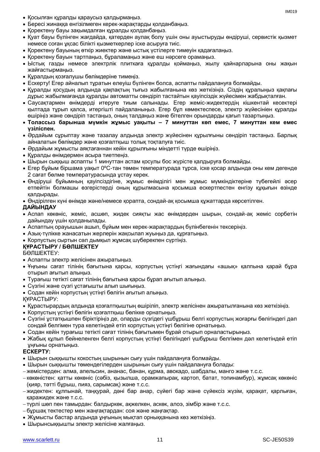- Қосылған құралды қараусыз қалдырмаңыз.
- Бересі жинаққа енгізілмеген керек-жарақтарды қолданбаңыз.
- Қоректену бауы зақымдалған құралды қолданбаңыз.
- Қуат бауы бүлінген жағдайда, қатерден аулақ болу үшін оны ауыстыруды өндіруші, сервистік қызмет немесе соған ұқсас білікті қызметкерлер іске асыруға тиіс.
- Қоректену бауының өткір жиектер және ыстық үстілерге тимеуін қадағалаңыз.
- Қоректену бауын тартпаңыз, бұраламаңыз және еш нәрсеге орамаңыз.
- Ыстық газды немесе электрлік плиткаға құралды қоймаңыз, жылу қайнарларына оны жақын жайғастырмаңыз.
- Құралдың қозғалушы бөлімдеріне тимеңіз.
- Ескерту! Егер айналып тұратын елеуіш бүлінген болса, аспапты пайдалануға болмайды.
- Құралды қосудың алдында қақпақтың тығыз жабылғанына көз жеткізіңіз. Сіздің құралыңыз қақпағы дұрыс жабылмағанда құралды автоматты сөндіріп тастайтын қауіпсіздік жүйесімен жабдықталған.
- Саусақтармен өнімдерді итеруге тиым салынады. Егер жеміс-жидектердің кішкентай кесектері қылтада тұрып қалса, итергішті пайдаланыңыз. Егер бұл көмектеспесе, электр жүйесініен құралды өшіріңіз және сөндіріп тастаңыз, оның талдаңыз және бітелген орындарды қағып тазартыңыз.
- **Толассыз барынша мүмкін жұмыс уақыты – 7 минуттан көп емес, 7 минуттан кем емес үзіліспен.**
- Әрдайым сұрыптау және тазалау алдында электр жүйесінен құрылғыны сөндіріп тастаңыз. Барлық айналатын бөлімдер және қозғалтқыш толық тоқталуға тиіс.
- Әрдайым жұмысты аяқтағаннан кейін құрылғыны міндетті түрде өшіріңіз.
- Құралды өнімдермен асыра тиетпеңіз.
- Шырын сыққыш аспапты 1 минуттан астам қосулы бос жүрісте қалдыруға болмайды.
- Егер бұйым біршама уақыт 0ºC-тан төмен температурада тұрса, іске қосар алдында оны кем дегенде 2 сағат бөлме температурасында ұстау керек.
- Өндіруші бұйымның қауіпсіздігіне, жұмыс өнімділігі мен жұмыс мүмкіндіктеріне түбегейлі әсер етпейтін болмашы өзгерістерді оның құрылмасына қосымша ескертпестен енгізу құқығын өзінде қалдырады.
- Өндірілген күні өнімде және/немесе қорапта, сондай-ақ қосымша құжаттарда көрсетілген.

#### **ДАЙЫНДАУ**

- Аспап көкөніс, жеміс, асшөп, жидек сияқты жас өнімдерден шырын, сондай-ақ жеміс сорбетін дайындау үшін қолданылады.
- Аспаптың орауышын ашып, бұйым мен керек-жарақтардың бүлінбегенін тексеріңіз.
- Азық-түлікке жанасатын жерлерін жақсылап жуыңыз да, құрғатыңыз.
- Корпустың сыртын сәл дымқыл жұмсақ шүберекпен сүртіңіз.

#### **ҚҰРАСТЫРУ / БӨЛШЕКТЕУ**

БӨЛШЕКТЕУ:

- Аспапты электр желісінен ажыратыңыз.
- Ұңғыны сағат тілінің бағытына қарсы, корпустың үстіңгі жағындағы «ашық» қалпына қарай бұра отырып ағытып алыңыз.
- Турағыш тетікті сағат тілінің бағытына қарсы бұрап ағытып алыңыз.
- Сүзгіні және сүзгі ұстағышты алып шығыңыз.
- Содан кейін корпустың үстіңгі бөлігін ағытып алыңыз.

ҚҰРАСТЫРУ:

- Құрастырардың алдында қозғалтқыштың өшіріліп, электр желісінен ажыратылғанына көз жеткізіңіз.
- Корпустың үстіңгі бөлігін қозғалтқыш бөлікке орнатыңыз.
- Сүзгіні ұстатқышпен біріктіріңіз де, оларды сүзгідегі үшбұрыш белгі корпустың жоғарғы бөлігіндегі дәл сондай белгімен тура келетіндей етіп корпустың үстіңгі бөлігіне орнатыңыз.
- Содан кейін турағыш тетікті сағат тілінің бағытымен бұрай отырып орналастырыңыз.
- Жабық құлып бейнеленген белгі корпустың үстіңгі бөлігіндегі үшбұрыш белгімен дәл келетіндей етіп ұңғыны орнатыңыз.

#### **ЕСКЕРТУ:**

- Шырын сыққышты кокостың шырынын сығу үшін пайдалануға болмайды.
- Шырын сыққышты төмендегілерден шырынын сығу үшін пайдалануға болады:
- жемістерден: алма, апельсин, ананас, банан, құрма, авокадо, шабдалы, манго және т.с.с.
- көкөністен: қатты көкөніс (сәбіз, қызылша, орамжапырақ, картоп, батат, топинамбур), жұмсақ көкөніс (қияр, тәтті бұрыш, пияз, сарымсақ) және т.с.с.
- жидектен: құлпынай, таңқурай, дәні бар анар, сүйегі бар және сүйексіз жүзім, қарақат, қарлыған, қаражидек және т.с.с.
- түрлі шөп пен тамырдан: балдыркөк, ақжелкен, аскөк, алоэ, зімбір және т.с.с.
- бұршақ тектестер мен жаңғақтардан: соя және жаңғақтар.
- Жұмысты бастар алдында ұңғының мықтап орныққанына көз жеткізіңіз.
- Шырынсыққышты электр желісіне жалғаңыз.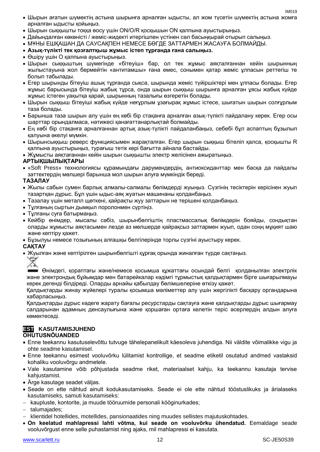- Шырын ағатын шүмектің астына шырынға арналған ыдысты, ал жом түсетін шүмектің астына жомға арналған ыдысты қойыңыз.
- Шырын сыққышты тоққа өосу үшін ON/O/R қосқышын ON қалпына ауыстырыңыз.
- Дайындалған көкөністі / жеміс-жидекті итергішпен үстінен сәл басыңқырай отырып салыңыз.
- МҰНЫ ЕШҚАШАН ДА САУСАҚПЕН НЕМЕСЕ БӨГДЕ ЗАТТАРМЕН ЖАСАУҒА БОЛМАЙДЫ.
- **Азық-түлікті тек қозғалтқыш жұмыс істеп тұрғанда ғана салыңыз.**
- Өшіру үшін O қалпына ауыстырыңыз.
- Шырын сыққыштың шүмегінде «бітеуіш» бар, ол тек жұмыс аяқталғаннан кейін шырынның жылыстауына жол бермейтін «антитамшы» ғана емес, сонымен қатар жеміс ұлпасын реттегіш те болып табылады.
- Егер шырынды бітеуіш ашық тұрғанда сықса, шырында жеміс түйіршіктері мен ұлпасы болады. Егер жұмыс барысында бітеуіш жабық тұрса, онда шырын сыққыш шырынға арналған ұясы жабық күйде жұмыс істеген уақытқа қарай, шырынның тазалығы өзгеретін болады.
- Шырын сыққыш бітеуіші жабық күйде неғұрлым ұзағырақ жұмыс істесе, шығатын шырын солғұрлым таза болады.
- Барынша таза шырын алу үшін ең көбі бір стақанға арналған азық-түлікті пайдалану керек. Егер осы шарттар орындалмаса, нәтижесі қанағаттанарлықтай болмайды.
- Ең көбі бір стақанға арналғаннан артық азық-түлікті пайдаланбаңыз, себебі бұл аспаптың бұзылып қалуына әкелуі мүмкін.
- Шырынсыққыш реверс функциясымен жарақталған. Егер шырын сыққыш бітеліп қалса, қосқышты R қалпына ауыстырыңыз, турағыш тетік кері бағытта айнала бастайды.
- Жұмысты аяқтағаннан кейін шырын сыққышты электр желісінен ажыратыңыз.

#### **АРТЫҚШЫЛЫҚТАРЫ**

 «Soft Press» технологиясы құрамындағы дәрумендердің, антиоксиданттар мен басқа да пайдалы заттектердің мөлшері барынша мол шырын алуға мүмкіндік береді.

#### **ТАЗАЛАУ**

- Жылы сабын сумен барлық алмалы-салмалы бөлімдерді жуыңыз. Сүзгінің тесіктерін керісінен жуып тазартқан дұрыс. Бұл үшін ыдыс-аяқ жуатын машинаны қолданбаңыз.
- Тазалау үшін металл щөткені, қайрақты жуу заттарын не терішені қолданбаңыз.
- Тұлғаның сыртын дымқыл поролонмен сүртіңіз.
- Тұлғаны суға батырмаңыз.
- Кейбір өнімдер, мысалы сәбіз, шырынбөлгіштің пластмассалық бөлімдерін бояйды, сондықтан оларды жұмысты аяқтасымен лезде аз мөлшерде қайрақсыз заттармен жуып, одан соңң мұқият шаю және кептіру қажет.
- Бұзылуы немесе тозығының алғашқы белгілерінде торлы сүзгіні ауыстыру керек.

#### **САҚТАУ**

Жуылған және кептірілген шырынбөлгішті құрғақ орында жиналған түрде сақтаңыз.



Өнімдегі, қораптағы және/немесе қосымша құжаттағы осындай белгі қолданылған электрлік және электрондық бұйымдар мен батарейкалар кәдімгі тұрмыстық қалдықтармен бірге шығарылмауы керек дегенді білдіреді. Оларды арнайы қабылдау бөлімшелеріне өткізу қажет.

Қалдықтарды жинау жүйелері туралы қосымша мәліметтер алу үшін жергілікті басқару органдарына хабарласыңыз.

Қалдықтарды дұрыс кәдеге жарату бағалы ресурстарды сақтауға және қалдықтарды дұрыс шығармау салдарынан адамның денсаулығына және қоршаған ортаға келетін теріс әсерлердің алдын алуға көмектеседі.

#### **EST KASUTAMISJUHEND OHUTUSNÕUANDED**

- Enne teekannu kasutuselevõttu tutvuge tähelepanelikult käesoleva juhendiga. Nii väldite võimalikke vigu ja ohte seadme kasutamisel.
- Enne teekannu esimest vooluvõrku lülitamist kontrollige, et seadme etiketil osutatud andmed vastaksid kohaliku vooluvõrgu andmetele.
- Vale kasutamine võib põhjustada seadme riket, materiaalset kahju, ka teekannu kasutaja tervise kahjustamist.
- Ärge kasutage seadet väljas.
- Seade on ette nähtud ainult kodukasutamiseks. Seade ei ole ette nähtud tööstuslikuks ja ärialaseks kasutamiseks, samuti kasutamiseks:
- kaupluste, kontorite, ja muude tööruumide personali kööginurkades;
- talumajades;
- klientidel hotellides, motellides, pansionaatides ning muudes sellistes majutuskohtades.
- **On keelatud mahlapressi lahti võtma, kui seade on vooluvõrku ühendatud.** Eemaldage seade vooluvõrgust enne selle puhastamist ning ajaks, mil mahlapressi ei kasutata.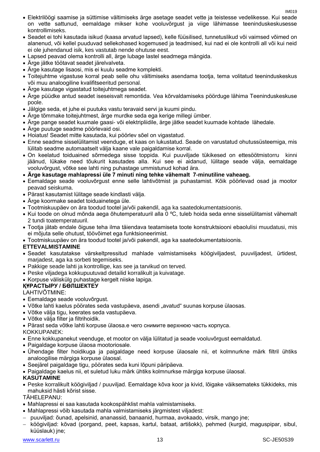- Elektrilöögi saamise ja süttimise vältimiseks ärge asetage seadet vette ja teistesse vedelikesse. Kui seade on vette sattunud, eemaldage mikser kohe vooluvõrgust ja viige lähimasse teeninduskeskusesse kontrollimiseks.
- Seadet ei tohi kasutada isikud (kaasa arvatud lapsed), kelle füüsilised, tunnetuslikud või vaimsed võimed on alanenud, või kellel puuduvad sellekohased kogemused ja teadmised, kui nad ei ole kontrolli all või kui neid ei ole juhendanud isik, kes vastutab nende ohutuse eest.
- Lapsed peavad olema kontrolli all, ärge lubage lastel seadmega mängida.
- Ärge jätke töötavat seadet järelvalveta.
- Ärge kasutage lisaosi, mis ei kuulu seadme komplekti.
- Toitejuhtme vigastuse korral peab selle ohu vältimiseks asendama tootja, tema volitatud teeninduskeskus või muu analoogiline kvalifitseeritud personal.
- Ärge kasutage vigastatud toitejuhtmega seadet.
- Ärge püüdke antud seadet iseseisvalt remontida. Vea kõrvaldamiseks pöörduge lähima Teeninduskeskuse poole.
- Jälgige seda, et juhe ei puutuks vastu teravaid servi ja kuumi pindu.
- Ärge tõmmake toitejuhtmest, ärge murdke seda ega kerige millegi ümber.
- Ärge pange seadet kuumale gaasi- või elektripliidile, ärge jätke seadet kuumade kohtade lähedale.
- Ärge puutuge seadme pöörlevaid osi.
- Hoiatus! Seadet mitte kasutada, kui pöörlev sõel on vigastatud.
- Enne seadme sisselülitamist veenduge, et kaas on lukustatud. Seade on varustatud ohutussüsteemiga, mis lülitab seadme automaatselt välja kaane vale paigaldamise korral.
- On keelatud toiduained sõrmedega sisse toppida. Kui puuviljade tükikesed on ettesöötmistorru kinni jäänud, lükake need tõukurit kasutades alla. Kui see ei aidanud, lülitage seade välja, eemaldage vooluvõrgust, võtke see lahti ning puhastage ummistunud kohad ära.
- **Ärge kasutage mahlapressi üle 7 minuti ning tehke vähemalt 7-minutiline vaheaeg.**
- Eemaldage seade vooluvõrgust enne selle lahtivõtmist ja puhastamist. Kõik pöörlevad osad ja mootor peavad seiskuma.
- Pärast kasutamist lülitage seade kindlasti välja.
- Ärge koormake seadet toiduainetega üle.
- Tootmiskuupäev on ära toodud tootel ja/või pakendil, aga ka saatedokumentatsioonis.
- Kui toode on olnud mõnda aega õhutemperatuuril alla 0 ºC, tuleb hoida seda enne sisselülitamist vähemalt 2 tundi toatemperatuuril.
- Tootja jätab endale õiguse teha ilma täiendava teatamiseta toote konstruktsiooni ebaolulisi muudatusi, mis ei mõjuta selle ohutust, töövõimet ega funktsioneerimist.
- Tootmiskuupäev on ära toodud tootel ja/või pakendil, aga ka saatedokumentatsioonis.

#### **ETTEVALMISTAMINE**

- Seadet kasutatakse värskeltpressitud mahlade valmistamiseks köögiviljadest, puuviljadest, ürtidest, marjadest, aga ka sorbeti tegemiseks.
- Pakkige seade lahti ja kontrollige, kas see ja tarvikud on terved.
- Peske viljadega kokkupuutuvad detailid korralikult ja kuivatage.
- Korpuse väliskülg puhastage kergelt niiske lapiga.

#### **ҚҰРАСТЫРУ / БӨЛШЕКТЕУ**

LAHTIVÕTMINE:

- Eemaldage seade vooluvõrgust.
- Võtke lahti kaelus pöörates seda vastupäeva, asendi "avatud" suunas korpuse ülaosas.
- Võtke välja tigu, keerates seda vastupäeva.
- Võtke välja filter ja filtrihoidik.
- Pärast seda võtke lahti korpuse ülaosa.е чего снимите верхнюю часть корпуса.

KOKKUPANEK:

- Enne kokkupanekut veenduge, et mootor on välja lülitatud ja seade vooluvõrgust eemaldatud.
- Paigaldage korpuse ülaosa mootoriosale.
- Ühendage filter hoidikuga ja paigaldage need korpuse ülaosale nii, et kolmnurkne märk filtril ühtiks analoogilise märgiga korpuse ülaosal.
- Seejärel paigaldage tigu, pöörates seda kuni lõpuni päripäeva.
- Paigaldage kaelus nii, et suletud luku märk ühtiks kolmnurkse märgiga korpuse ülaosal.

#### **KASUTAMINE**

 Peske korralikult köögiviljad / puuviljad. Eemaldage kõva koor ja kivid, lõigake väiksemateks tükkideks, mis mahuksid hästi kõrist sisse.

#### TÄHELEPANU:

- Mahlapressi ei saa kasutada kookospähklist mahla valmistamiseks.
- Mahlapressi võib kasutada mahla valmistamiseks järgmistest viljadest:
- puuviljad: õunad, apelsinid, ananassid, banaanid, hurmaa, avokaado, virsik, mango jne;
- köögiviljad: kõvad (porgand, peet, kapsas, kartul, bataat, artišokk), pehmed (kurgid, maguspipar, sibul, küüslauk) jne;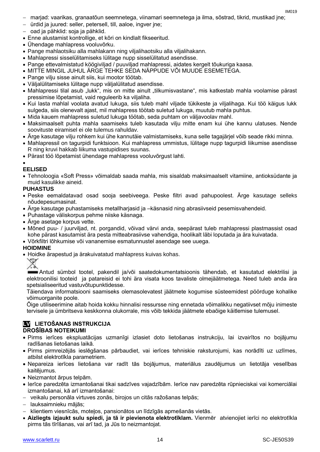- marjad: vaarikas, granaatõun seemnetega, viinamari seemnetega ja ilma, sõstrad, tikrid, mustikad jne;
- ürdid ja juured: seller, petersell, till, aaloe, ingver jne;
- oad ja pähklid: soja ja pähklid.
- Enne alustamist kontrollige, et kõri on kindlalt fikseeritud.
- Ühendage mahlapress vooluvõrku.
- Pange mahlaotsiku alla mahlakann ning viljalihaotsiku alla viljalihakann.
- Mahlapressi sisselülitamiseks lülitage nupp sisselülitatud asendisse.
- Pange ettevalmistatud köögiviljad / puuviljad mahlapressi, aidates kergelt tõukuriga kaasa.
- MITTE MINGIL JUHUL ÄRGE TEHKE SEDA NÄPPUDE VÕI MUUDE ESEMETEGA.
- Pange vilju sisse ainult siis, kui mootor töötab.
- Väljalülitamiseks lülitage nupp väljalülitatud asendisse.
- Mahlapressi tilal asub "lukk", mis on mitte ainult "tilkumisvastane", mis katkestab mahla voolamise pärast pressimise lõpetamist, vaid reguleerib ka viljaliha.
- Kui lasta mahlal voolata avatud lukuga, siis tuleb mahl viljade tükikeste ja viljalihaga. Kui töö käigus lukk sulgeda, siis olenevalt ajast, mil mahlapress töötab suletud lukuga, muutub mahla puhtus.
- Mida kauem mahlapress suletud lukuga töötab, seda puhtam on väljavoolav mahl.
- Maksimaalselt puhta mahla saamiseks tuleb kasutada vilju mitte enam kui ühe kannu ulatuses. Nende soovituste eiramisel ei ole tulemus rahuldav.
- Ärge kasutage vilju rohkem kui ühe kannutäie valmistamiseks, kuna selle tagajärjel võib seade rikki minna.
- Mahlapressil on tagurpidi funktsioon. Kui mahlapress ummistus, lülitage nupp tagurpidi liikumise asendisse R ning kruvi hakkab liikuma vastupidises suunas.
- Pärast töö lõpetamist ühendage mahlapress vooluvõrgust lahti.

#### $\bullet$

- **EELISED**
- Tehnoloogia «Soft Press» võimaldab saada mahla, mis sisaldab maksimaalselt vitamiine, antioksüdante ja muid kasulikke aineid.

#### **PUHASTUS**

- Peske eemaldatavad osad sooja seebiveega. Peske filtri avad pahupoolest. Ärge kasutage selleks nõudepesumasinat.
- Ärge kasutage puhastamiseks metallharjasid ja –käsnasid ning abrasiivseid pesemisvahendeid.
- Puhastage väliskorpus pehme niiske käsnaga.
- Ärge asetage korpus vette.
- Mõned puu- / juurviljad, nt. porgandid, võivad värvi anda, seepärast tuleb mahlapressi plastmassist osad kohe pärast kasutamist ära pesta mitteabrasiivse vahendiga, hoolikalt läbi loputada ja ära kuivatada.
- Võrkfiltri lõhkumise või vananemise esmatunnustel asendage see uuega.

#### **HOIDMINE**

Hoidke ärapestud ja ärakuivatatud mahlapress kuivas kohas.



Antud sümbol tootel, pakendil ja/või saatedokumentatsioonis tähendab, et kasutatud elektrilisi ja elektroonilisi tooteid ja patareisid ei tohi ära visata koos tavaliste olmejäätmetega. Need tuleb anda ära spetsialiseeritud vastuvõtupunktidesse.

Täiendava informatsiooni saamiseks olemasolevatest jäätmete kogumise süsteemidest pöörduge kohalike võimuorganite poole.

Õige utiliseerimine aitab hoida kokku hinnalisi ressursse ning ennetada võimalikku negatiivset mõju inimeste tervisele ja ümbritseva keskkonna olukorrale, mis võib tekkida jäätmete ebaõige käitlemise tulemusel.

#### **LV LIETOŠANAS INSTRUKCIJA DROŠĪBAS NOTEIKUMI**

- Pirms ierīces ekspluatācijas uzmanīgi izlasiet doto lietošanas instrukciju, lai izvairītos no bojājumu
- radīšanas lietošanas laikā.
- Pirms pirmreizējās ieslēgšanas pārbaudiet, vai ierīces tehniskie raksturojumi, kas norādīti uz uzlīmes, atbilst elektrotīkla parametriem.
- Nepareiza ierīces lietošana var radīt tās bojājumus, materiālus zaudējumus un lietotāja veselības kaitējumus.
- Neizmantot ārpus telpām.
- Ierīce paredzēta izmantošanai tikai sadzīves vajadzībām. Ierīce nav paredzēta rūpnieciskai vai komerciālai izmantošanai, kā arī izmantošanai:
- veikalu personāla virtuves zonās, birojos un citās ražošanas telpās;
- lauksaimnieku mājās;
- $-$  klientiem viesnīcās, motelos, pansionātos un līdzīgās apmešanās vietās.
- **Aizliegts izjaukt sulu spiedi, ja tā ir pievienota elektrotīklam.** Vienmēr atvienojiet ierīci no elektrotīkla pirms tās tīrīšanas, vai arī tad, ja Jūs to neizmantojat.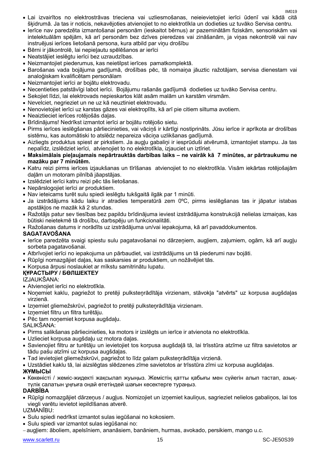- Lai izvairītos no elektrostrāvas trieciena vai uzliesmošanas, neieievietojiet ierīci ūdenī vai kādā citā šķidrumā. Ja tas ir noticis, nekavējoties atvienojiet to no elektrotīkla un dodieties uz tuvāko Servisa centru.
- Ierīce nav paredzēta izmantošanai personām (ieskaitot bērnus) ar pazeminātām fiziskām, sensoriskām vai intelektuālām spējām, kā arī personām bez dzīves pieredzes vai zināšanām, ja viņas nekontrolē vai nav instruējusi ierīces lietošanā persona, kura atbild par viņu drošību
- Bērni ir jākontrolē, lai nepieļautu spēlēšanos ar ierīci
- Neatstājiet ieslēgtu ierīci bez uzraudzības.
- Neizmantojiet piederumus, kas neietilpst ierīces pamatkomplektā.
- Barošanas vada bojājuma gadījumā, drošības pēc, tā nomaiņa jāuztic ražotājam, servisa dienestam vai analoģiskam kvalificētam personālam
- Neizmantojiet ierīci ar bojātu elektrovadu.
- Necentieties patstāvīgi labot ierīci. Bojājumu rašanās gadījumā dodieties uz tuvāko Servisa centru.
- Sekojiet līdzi, lai elektrovads nepieskartos klāt asām malām un karstām virsmām.
- Nevelciet, negrieziet un ne uz kā neuztiniet elektrovadu.
- Nenovietojiet ierīci uz karstas gāzes vai elektroplīts, kā arī pie citiem siltuma avotiem.
- Neaiztieciet ierīces rotējošās daļas.
- Brīdinājums! Nedrīkst izmantot ierīci ar bojātu rotējošo sietu.
- Pirms ierīces ieslēgšanas pārliecinieties, vai vāciņš ir kārtīgi nostiprināts. Jūsu ierīce ir aprīkota ar drošības sistēmu, kas automātiski to atslēdz nepareiza vāciņa uzlikšanas gadījumā.
- Aizliegts produktus spiest ar pirkstiem. Ja augļu gabaliņi ir iesprūduši atvērumā, izmantojiet stampu. Ja tas nepalīdz, izslēdziet ierīci, atvienojiet to no elektrotīkla, izjauciet un iztīriet.
- **Maksimālais pieļaujamais nepārtrauktās darbības laiks – ne vairāk kā 7 minūtes, ar pārtraukumu ne mazāku par 7 minūtēm.**
- Katru reizi pirms ierīces izjaukšanas un tīrīšanas atvienojiet to no elektrotīkla. Visām iekārtas rotējošajām daļām un motoram pilnībā jāapstājas.
- Izslēdziet ierīci katru reizi pēc tās lietošanas.
- Nepārslogojiet ierīci ar produktiem.
- Nav ieteicams turēt sulu spiedi ieslēgtu tukšgaitā ilgāk par 1 minūti.
- Ja izstrādājums kādu laiku ir atradies temperatūrā zem 0ºC, pirms ieslēgšanas tas ir jāpatur istabas apstākļos ne mazāk kā 2 stundas.
- Ražotājs patur sev tiesības bez papildu brīdinājuma ieviest izstrādājuma konstrukcijā nelielas izmaiņas, kas būtiski neietekmē tā drošību, darbspēju un funkcionalitāti.
- Ražošanas datums ir norādīts uz izstrādājuma un/vai iepakojuma, kā arī pavaddokumentos.

#### **SAGATAVOŠANA**

- Ierīce paredzēta svaigi spiestu sulu pagatavošanai no dārzeņiem, augļiem, zaļumiem, ogām, kā arī augļu sorbeta pagatavošanai.
- Atbrīvojiet ierīci no iepakojuma un pārbaudiet, vai izstrādājums un tā piederumi nav bojāti.
- Rūpīgi nomazgājiet daļas, kas saskarsies ar produktiem, un nožāvējiet tās.
- Korpusa ārpusi noslaukiet ar mīkstu samitrinātu lupatu.

#### **ҚҰРАСТЫРУ / БӨЛШЕКТЕУ**

#### IZJAUKŠANA:

- Atvienojiet ierīci no elektrotīkla.
- Noņemiet kaklu, pagriežot to pretēji pulksteņrādītāja virzienam, stāvokļa "atvērts" uz korpusa augšdaļas virzienā.
- Izņemiet gliemežskrūvi, pagriežot to pretēji pulksteņrādītāja virzienam.
- Izņemiet filtru un filtra turētāju.
- Pēc tam noņemiet korpusa augšdaļu.

SALIKŠANA:

- Pirms salikšanas pārliecinieties, ka motors ir izslēgts un ierīce ir atvienota no elektrotīkla.
- Uzlieciet korpusa augšdaļu uz motora daļas.
- Savienojiet filtru ar turētāju un ievietojiet tos korpusa augšdaļā tā, lai trīsstūra atzīme uz filtra savietotos ar tādu pašu atzīmi uz korpusa augšdaļas.
- Tad ievietojiet gliemežskrūvi, pagriežot to līdz galam pulksteņrādītāja virzienā.
- Uzstādiet kaklu tā, lai aizslēgtas slēdzenes zīme savietotos ar trīsstūra zīmi uz korpusa augšdaļas. **ЖҰМЫСЫ**
- Көкөністі / жеміс-жидекті жақсылап жуыңыз. Жемістің қатты қабығы мен сүйегін алып тастап, азықтүлік салатын ұңғыға оңай өтетіндей шағын кесектерге тураңыз.

#### **DARBĪBA**

 Rūpīgi nomazgājiet dārzeņus / augļus. Nomizojiet un izņemiet kauliņus, sagrieziet nelielos gabaliņos, lai tos viegli varētu ievietot iepildīšanas atverē.

UZMANĪBU:

- Sulu spiedi nedrīkst izmantot sulas iegūšanai no kokosiem.
- Sulu spiedi var izmantot sulas iegūšanai no:
- augļiem: āboliem, apelsīniem, ananāsiem, banāniem, hurmas, avokado, persikiem, mango u.c.

IM<sub>019</sub>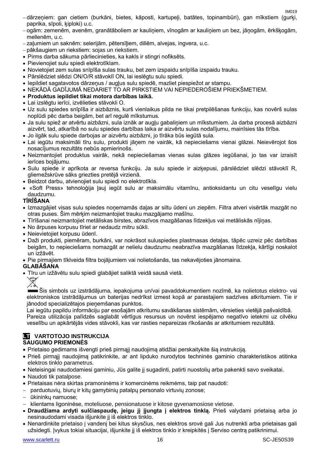IM<sub>019</sub>

- dārzeņiem: gan cietiem (burkāni, bietes, kāposti, kartupeļi, batātes, topinambūri), gan mīkstiem (gurķi, paprika, sīpoli, ķiploki) u.c.
- ogām: zemenēm, avenēm, granātāboliem ar kauliņiem, vīnogām ar kauliņiem un bez, jāņogām, ērkšķogām, mellenēm, u.c.
- zaļumiem un saknēm: selerijām, pētersīļiem, dillēm, alvejas, ingvera, u.c.
- pākšaugiem un riekstiem: sojas un riekstiem.
- Pirms darba sākuma pārliecinieties, ka kakls ir stingri nofiksēts.
- Pievienojiet sulu spiedi elektrotīklam.
- Novietojiet zem sulas snīpīša sulas trauku, bet zem izspaidu snīpīša izspaidu trauku.
- Pārslēdziet slēdzi ON/O/R stāvoklī ON, lai ieslēgtu sulu spiedi.
- Iepildiet sagatavotos dārzeņus / augļus sulu spiedē, mazliet piespiežot ar stampu.
- NEKĀDĀ GADĪJUMĀ NEDARIET TO AR PIRKSTIEM VAI NEPIEDEROŠIEM PRIEKŠMETIEM.
- **Produktus iepildiet tikai motora darbības laikā.**
- Lai izslēgtu ierīci, izvēlieties stāvokli O.
- Uz sulu spiedes snīpīša ir aizbāznis, kurš vienlaikus pilda ne tikai pretpilēšanas funkciju, kas novērš sulas noplūdi pēc darba beigām, bet arī regulē mīkstumus.
- Ja sulu spiež ar atvērtu aizbāzni, sula iznāk ar augļu gabaliņiem un mīkstumiem. Ja darba procesā aizbāzni aizvērt, tad, atkarībā no sulu spiedes darbības laika ar aizvērtu sulas nodalījumu, mainīsies tās tīrība.
- Jo ilgāk sulu spiede darbojas ar aizvērtu aizbāzni, jo tīrāka būs iegūtā sula.
- Lai iegūtu maksimāli tīru sulu, produkti jāņem ne vairāk, kā nepieciešams vienai glāzei. Neievērojot šos nosacījumus rezultāts nebūs apmierinošs.
- Neizmantojiet produktus vairāk, nekā nepieciešamas vienas sulas glāzes iegūšanai, jo tas var izraisīt ierīces bojājumu.
- Sulu spiede ir aprīkota ar reversa funkciju. Ja sulu spiede ir aizķepusi, pārslēdziet slēdzi stāvoklī R, gliemežskrūve sāks griezties pretējā virzienā.
- Beidzot darbu, atvienojiet sulu spiedi no elektrotīkla.
- «Soft Press» tehnoloģija ļauj iegūt sulu ar maksimālu vitamīnu, antioksidantu un citu veselīgu vielu daudzumu.

#### **TĪRĪŠANA**

- Izmazgājiet visas sulu spiedes noņemamās daļas ar siltu ūdeni un ziepēm. Filtra atveri visērtāk mazgāt no otras puses. Šim mērķim neizmantojiet trauku mazgājamo mašīnu.
- Tīrīšanai neizmantojiet metāliskas birstes, abrazīvos mazgāšanas līdzekļus vai metāliskās nījiņas.
- No ārpuses korpusu tīriet ar nedaudz mitru sūkli.
- Neievietojiet korpusu ūdenī.
- Daži produkti, piemēram, burkāni, var nokrāsot suluspiedes plastmasas detaļas, tāpēc uzreiz pēc darbības beigām, to nepieciešams nomazgāt ar nelielu daudzumu neabrazīva mazgāšanas līdzekļa, kārtīgi noskalot un izžāvēt.
- Pie pirmajiem tīklveida filtra bojājumiem vai nolietošanās, tas nekavējoties jānomaina.

#### **GLABĀŠANA**

Tīru un izžāvētu sulu spiedi glabājiet saliktā veidā sausā vietā.



Šis simbols uz izstrādājuma, iepakojuma un/vai pavaddokumentiem nozīmē, ka nolietotus elektro- vai elektroniskos izstrādājumus un baterijas nedrīkst izmest kopā ar parastajiem sadzīves atkritumiem. Tie ir jānodod specializētajos pieņemšanas punktos.

Lai iegūtu papildu informāciju par esošajām atkritumu savākšanas sistēmām, vērsieties vietējā pašvaldībā. Pareiza utilizācija palīdzēs saglabāt vērtīgus resursus un novērst iespējamo negatīvo ietekmi uz cilvēku veselību un apkārtējās vides stāvokli, kas var rasties nepareizas rīkošanās ar atkritumiem rezultātā.

#### **LT** VARTOTOJO INSTRUKCIJA **SAUGUMO PRIEMONĖS**

- Prietaiso gedimams išvengti prieš pirmąjį naudojimą atidžiai perskaitykite šią instrukciją.
- Prieš pirmąjį naudojimą patikrinkite, ar ant lipduko nurodytos techninės gaminio charakteristikos atitinka elektros tinklo parametrus.
- Neteisingai naudodamiesi gaminiu, Jūs galite jį sugadinti, patirti nuostolių arba pakenkti savo sveikatai.
- Naudoti tik patalpose.
- Prietaisas nėra skirtas pramoninėms ir komercinėms reikmėms, taip pat naudoti:
- parduotuvių, biurų ir kitų gamybinių patalpų personalo virtuvių zonose;
- ūkininkų namuose;
- klientams ligoninėse, moteliuose, pensionatuose ir kitose gyvenamosiose vietose.
- **Draudžiama ardyti sulčiaspaudę, jeigu jį įjungta į elektros tinklą.** Prieš valydami prietaisą arba jo nesinaudodami visada išjunkite jį iš elektros tinklo.
- Nenardinkite prietaiso į vandenį bei kitus skysčius, nes elektros srovė gali Jus nutrenkti arba prietaisas gali užsidegti. Įvykus tokiai situacijai, išjunkite jį iš elektros tinklo ir kreipkitės į Serviso centrą patikrinimui.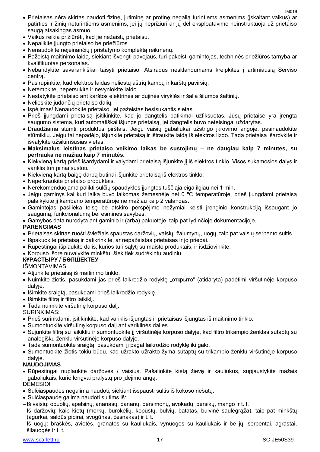- Prietaisas nėra skirtas naudoti fizinę, jutiminę ar protinę negalią turintiems asmenims (įskaitant vaikus) ar patirties ir žinių neturintiems asmenims, jei jų neprižiūri ar jų dėl eksploatavimo neinstruktuoja už prietaiso saugą atsakingas asmuo.
- Vaikus reikia prižiūrėti, kad jie nežaistų prietaisu.
- Nepalikite įjungto prietaiso be priežiūros.
- Nenaudokite neįeinančių į pristatymo komplektą reikmenų.
- Pažeistą maitinimo laidą, siekiant išvengti pavojaus, turi pakeisti gamintojas, techninės priežiūros tarnyba ar kvalifikuotas personalas.
- Nebandykite savarankiškai taisyti prietaiso. Atsiradus nesklandumams kreipkitės į artimiausią Serviso centrą.
- Pasirūpinkite, kad elektros laidas neliestų aštrių kampų ir karštų paviršių.
- Netempkite, nepersukite ir nevyniokite laido.
- Nestatykite prietaiso ant karštos elektrinės ar dujinės viryklės ir šalia šilumos šaltinių.
- Nelieskite judančių prietaiso dalių.
- Ispėjimas! Nenaudokite prietaiso, jei pažeistas besisukantis sietas.
- Prieš įjungdami prietaisą įsitikinkite, kad jo dangtelis patikimai užfiksuotas. Jūsų prietaise yra įrengta saugumo sistema, kuri automatiškai išjungs prietaisą, jei dangtelis buvo neteisingai uždarytas.
- Draudžiama stumti produktus pirštais. Jeigu vaisių gabaliukai užstrigo įkrovimo angoje, pasinaudokite stūmikliu. Jeigu tai nepadėjo, išjunkite prietaisą ir ištraukite laidą iš elektros lizdo. Tada prietaisą išardykite ir išvalykite užsikimšusias vietas.
- **Maksimalus leistinas prietaiso veikimo laikas be sustojimų – ne daugiau kaip 7 minutes, su pertrauka ne mažiau kaip 7 minutės.**
- Kiekvieną kartą prieš išardydami ir valydami prietaisą išjunkite jį iš elektros tinklo. Visos sukamosios dalys ir variklis turi pilnai sustoti.
- Kiekvieną kartą baigę darbą būtinai išjunkite prietaisą iš elektros tinklo.
- Neperkraukite prietaiso produktais.
- Nerekomenduojama palikti sulčių spaudyklės įjungtos tuščiąja eiga ilgiau nei 1 min.
- Jeigu gaminys kai kurį laiką buvo laikomas žemesnėje nei 0 ºC temperatūroje, prieš įjungdami prietaisą palaikykite jį kambario temperatūroje ne mažiau kaip 2 valandas.
- Gamintojas pasilieka teisę be atskiro perspėjimo nežymiai keisti įrenginio konstrukciją išsaugant jo saugumą, funkcionalumą bei esmines savybes.
- Gamybos data nurodyta ant gaminio ir (arba) pakuotėje, taip pat lydinčioje dokumentacijoje.

#### **PARENGIMAS**

- Prietaisas skirtas ruošti šviežiais spaustas daržovių, vaisių, žalumynų, uogų, taip pat vaisių serbento sultis.
- Išpakuokite prietaisą ir patikrinkite, ar nepažeistas prietaisas ir jo priedai.
- Rūpestingai išplaukite dalis, kurios turi sąlytį su maisto produktais, ir išdžiovinkite.
- Korpuso išorę nuvalykite minkštu, šiek tiek sudrėkintu audiniu.

#### **ҚҰРАСТЫРУ / БӨЛШЕКТЕУ**

IŠMONTAVIMAS:

- Atjunkite prietaisą iš maitinimo tinklo.
- Nuimkite žiotis, pasukdami jas prieš laikrodžio rodyklę "открыто" (atidaryta) padėtimi viršutinėje korpuso dalyje.
- Išimkite sraigtą, pasukdami prieš laikrodžio rodyklę.
- Išimkite filtrą ir filtro laikiklį.
- Tada nuimkite viršutinę korpuso dalį.

SURINKIMAS:

- Prieš surinkdami, įsitikinkite, kad variklis išjungtas ir prietaisas išjungtas iš maitinimo tinklo.
- Sumontuokite viršutinę korpuso dalį ant variklinės dalies.
- Sujunkite filtrą su laikikliu ir sumontuokite jį viršutinėje korpuso dalyje, kad filtro trikampio ženklas sutaptų su analogišku ženklu viršutinėje korpuso dalyje.
- Tada sumontuokite sraigtą, pasukdami jį pagal laikrodžio rodyklę iki galo.
- Sumontuokite žiotis tokiu būdu, kad užrakto užrakto žyma sutaptų su trikampio ženklu viršutinėje korpuso dalyje.

#### **NAUDOJIMAS**

 Rūpestingai nuplaukite daržoves / vaisius. Pašalinkite kietą žievę ir kauliukus, supjaustykite mažais gabaliukais, kurie lengvai pralystų pro įdėjimo angą.

DĖMESIO!

- Sulčiaspaudės negalima naudoti, siekiant išspausti sultis iš kokoso riešutų.
- Sulčiaspaude galima naudoti sultims iš:
- -Iš vaisių: obuolių, apelsinų, ananasų, bananų, persimonų, avokadų, persikų, mango ir t. t.
- Iš daržovių: kaip kietų (morkų, burokėlių, kopūstų, bulvių, batatas, bulvinė saulėgrąža), taip pat minkštų (agurkai, saldūs pipirai, svogūnas, česnakas) ir t. t.
- -Iš uogų: braškės, avietės, granatos su kauliukais, vynuogės su kauliukais ir be jų, serbentai, agrastai, šilauogės ir t. t.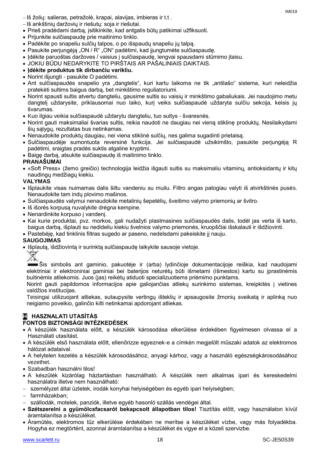- $-$ Iš žolių: salieras, petražolė, krapai, alavijas, imbieras ir t.t.
- Iš ankštinių daržovių ir riešutų: soja ir riešutai.
- Prieš pradėdami darbą, įsitikinkite, kad antgalis būtų patikimai užfiksuoti.
- Prijunkite sulčiaspaudę prie maitinimo tinklo.
- Padėkite po snapeliu sulčių talpos, o po išspaudų snapeliu jų talpą.
- Pasukite perjungėją "ON / R" "ON" padėtimi, kad jiungtumėte sulčiaspaudę.
- Idėkite paruoštas daržoves / vaisius į sulčiaspaude, lengvai spausdami stūmimo įtaisu.
- JOKIU BŪDU NEDARYKITE TO PIRŠTAIS AR PAŠALINIAIS DAIKTAIS.
- **Įdėkite produktus tik dirbančiu varikliu.**
- Norint išjungti pasukite O padėtimi.
- Ant sulčiaspaudės snapelio yra "dangtelis", kuri kartu laikoma ne tik "antilašo" sistema, kuri neleidžia pratekėti sultims baigus darbą, bet minkštimo reguliatoriumi.
- Norint spausti sultis atvertu dangteliu, gausime sultis su vaisių ir minkštimo gabaliukais. Jei naudojimo metu dangtelį uždarysite, priklausomai nuo laiko, kurį veiks sulčiaspaudė uždaryta sulčiu sekcija, keisis jų švarumas.
- Kuo ilgiau veikia sulčiaspaudė uždarytu dangteliu, tuo sultys švaresnės.
- Norint gauti maksimaliai švarias sultis, reikia naudoti ne daugiau nei vieną stiklinę produktų. Nesilaikydami šių sąlygų, rezultatas bus netinkamas.
- Nenaudokite produktų daugiau, nei viena stiklinė sulčių, nes galima sugadinti prietaisą.
- Sulčiaspaudėje sumontuota reversinė funkcija. Jei sulčiaspaudė užsikimšto, pasukite perjungėją R padėtimi, sraigtas pradės suktis atgaline kryptimi.
- Baigę darbą, atsukite sulčiaspaudę iš maitinimo tinklo.

#### **PRANAŠUMAI**

 «Soft Press» (žemo greičio) technologija leidžia išgauti sultis su maksimaliu vitaminų, antioksidantų ir kitų naudingų medžiagų kiekiu.

#### **VALYMAS**

- Išplaukite visas nuimamas dalis šiltu vandeniu su muilu. Filtro angas patogiau valyti iš atvirkštinės pusės. Nenaudokite tam indų plovimo mašinos.
- Sulčiaspaudės valymui nenaudokite metalinių šepetėlių, šveitimo valymo priemonių ar švitro.
- Iš išorės korpusą nuvalykite drėgna kempine.
- Nenardinkite korpuso į vandenį.
- Kai kurie produktai, pvz. morkos, gali nudažyti plastmasines sulčiaspaudės dalis, todėl jas verta iš karto, baigus darbą, išplauti su nedideliu kiekiu švelnios valymo priemonės, kruopščiai išskalauti ir išdžiovinti.
- Pastebėję, kad tinklinis filtras sugedo ar paseno, nedelsdami pakeiskite jį nauju.

#### **SAUGOJIMAS**

Išplautą, išdžiovintą ir surinktą sulčiaspaudę laikykite sausoje vietoje.

Šis simbolis ant gaminio, pakuotėje ir (arba) lydinčioje dokumentacijoje reiškia, kad naudojami elektriniai ir elektroniniai gaminiai bei baterijos neturėtų būti išmetami (išmestos) kartu su įprastinėmis buitinėmis atliekomis. Juos (jas) reikėtų atiduoti specializuotiems priėmimo punktams.

Norint gauti papildomos informacijos apie galiojančias atliekų surinkimo sistemas, kreipkitės į vietines valdžios institucijas.

Teisingai utilizuojant atliekas, sutaupysite vertingų išteklių ir apsaugosite žmonių sveikatą ir aplinką nuo neigiamo poveikio, galinčio kilti netinkamai apdorojant atliekas.

### **H HASZNALATI UTASÍTÁS**

#### **FONTOS BIZTONSÁGI INTÉZKEDÉSEK**

- A készülék használata előtt, a készülék károsodása elkerülése érdekében figyelmesen olvassa el a Használati utasítást.
- A készülék első használata előtt, ellenőrizze egyeznek-e a címkén megjelölt műszaki adatok az elektromos hálózat adataival.
- A helytelen kezelés a készülék károsodásához, anyagi kárhoz, vagy a használó egészségkárosodásához vezethet.
- Szabadban használni tilos!
- A készülék kizárólag háztartásban használható. A készülék nem alkalmas ipari és kereskedelmi használatra illetve nem használható:
- személyzet által üzletek, irodák konyhai helyiségében és egyéb ipari helyiségben;
- farmházakban;
- szállodák, motelek, panziók, illetve egyéb hasonló szállás vendégei által.
- **Szétszerelni a gyümölcsfacsarót bekapcsolt állapotban tilos!** Tisztítás előtt, vagy használaton kívül áramtalanítsa a készüléket.
- Áramütés, elektromos tűz elkerülése érdekében ne merítse a készüléket vízbe, vagy más folyadékba. Hogyha ez megtörtént, azonnal áramtalanítsa a készüléket és vigye el a közeli szervizbe.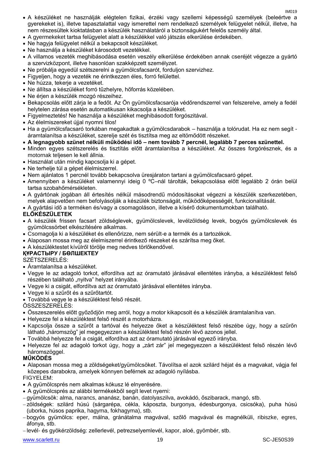- A készüléket ne használják elégtelen fizikai, érzéki vagy szellemi képességű személyek (beleértve a gyerekeket is), illetve tapasztalattal vagy ismerettel nem rendelkező személyek felügyelet nélkül, illetve, ha nem részesültek kioktatásban a készülék használatáról a biztonságukért felelős személy által.
- A gyermekeket tartsa felügyelet alatt a készülékkel való játszás elkerülése érdekében.
- Ne hagyja felügyelet nélkül a bekapcsolt készüléket.
- Ne használja a készüléket károsodott vezetékkel.
- A villamos vezeték meghibásodása esetén veszély elkerülése érdekében annak cseréjét végezze a gyártó a szervizközpont, illetve hasonlóan szakképzett személyzet.
- Ne próbálja egyedül szétszerelni a gyümölcsfacsarót, forduljon szervizhez.
- Figyeljen, hogy a vezeték ne érintkezzen éles, forró felülettel.
- Ne húzza, tekerje a vezetéket.
- Ne állítsa a készüléket forró tűzhelyre, hőforrás közelében.
- Ne érjen a készülék mozgó részeihez.
- Bekapcsolás előtt zárja le a fedőt. Az Ön gyümölcsfacsarója védőrendszerrel van felszerelve, amely a fedél helytelen zárása esetén automatikusan kikacsolja a készüléket.
- Figyelmeztetés! Ne használja a készüléket meghibásodott forgószitával.
- Az élelmiszereket újjal nyomni tilos!
- Ha a gyümölcsfacsaró torkában megakadtak a gyümölcsdarabok használja a tolórudat. Ha ez nem segít áramtalanítsa a készüléket, szerelje szét és tisztítsa meg az eltömődött részeket.
- **A legnagyobb szünet nélküli működési idő – nem tovább 7 percnél, legalább 7 perces szünettel.**
- Minden egyes szétszerelés és tisztítás előtt áramtalanítsa a készüléket. Az összes forgórésznek, és a motornak teljesen le kell állnia.
- Használat után mindig kapcsolja ki a gépet.
- Ne terhelie túl a gépet élelmiszerrel.
- Nem ajánlatos 1 percnél tovább bekapcsolva üresjáraton tartani a gyümölcsfacsaró gépet.
- Amennyiben a készüléket valamennyi ideig 0 ºC–nál tárolták, bekapcsolása előtt legalább 2 órán belül tartsa szobahőmérsékleten.
- A gyártónak jogában áll értesítés nélkül másodrendű módosításokat végezni a készülék szerkezetében, melyek alapvetően nem befolyásolják a készülék biztonságát, működőképességét, funkcionalitását.
- A gyártási idő a terméken és/vagy a csomagoláson, illetve a kísérő dokumentumokban található.

#### **ELŐKÉSZÜLETEK**

- A készülék frissen facsart zöldséglevek, gyümölcslevek, levélzöldség levek, bogyós gyümölcslevek és gyümölcssörbet elkészítésére alkalmas.
- Csomagolja ki a készüléket és ellenőrizze, nem sérült-e a termék és a tartozékok.
- Alaposan mossa meg az élelmiszerrel érintkező részeket és szárítsa meg őket.
- A készüléktestet kívülről törölje meg nedves törlőkendővel.

#### **ҚҰРАСТЫРУ / БӨЛШЕКТЕУ**

#### SZÉTSZERELÉS:

- Áramtalanítsa a készüléket.
- Vegye le az adagoló torkot, elfordítva azt az óramutató járásával ellentétes irányba, a készüléktest felső részében található "nyitva" helyzet irányába.
- Vegye ki a csigát, elfordítva azt az óramutató járásával ellentétes irányba.
- Vegye ki a szűrőt és a szűrőtartót.
- Továbbá vegye le a készüléktest felső részét.

ÖSSZESZERELÉS:

- Összeszerelés előtt győződjön meg arról, hogy a motor kikapcsolt és a készülék áramtalanítva van.
- Helyezze fel a készüléktest felső részét a motorházra.
- Kapcsolja össze a szűrőt a tartóval és helyezze őket a készüléktest felső részébe úgy, hogy a szűrőn látható "háromszög" jel megegyezzen a készüléktest felső részén lévő azonos jellel.
- Továbbá helyezze fel a csigát, elfordítva azt az óramutató járásával egyező irányba.
- · Helyezze fel az adagoló torkot úgy, hogy a "zárt zár" jel megegyezzen a készüléktest felső részén lévő háromszöggel.

#### **MŰKÖDÉS**

 Alaposan mossa meg a zöldségeket/gyümölcsöket. Távolítsa el azok szilárd héjat és a magvakat, vágja fel közepes darabokra, amelyek könnyen beférnek az adagoló nyílásba.

FIGYELEM:

- A gyümölcsprés nem alkalmas kókusz lé elnyerésére.
- A gyümölcsprés az alábbi termékekből segít levet nyerni:
- gyümölcsök: alma, narancs, ananász, banán, datolyaszilva, avokádó, őszibarack, mangó, stb.
- zöldségek: szilárd húsú (sárgarépa, cékla, káposzta, burgonya, édesburgonya, csicsóka), puha húsú (uborka, húsos paprika, hagyma, fokhagyma), stb.
- bogyós gyümölcs: eper, málna, gránátalma magvával, szőlő magvával és magnélküli, ribiszke, egres, áfonya, stb.
- levél- és gyökérzöldség: zellerlevél, petrezselyemlevél, kapor, aloé, gyömbér, stb.

IM<sub>019</sub>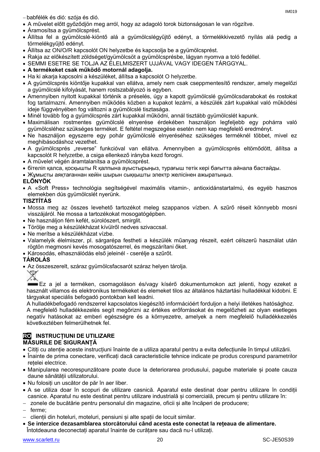- A művelet előtt győződjön meg arról, hogy az adagoló torok biztonságosan le van rögzítve.
- Áramosítsa a gyümölcsprést.
- Állítsa fel a gyümölcslé-kiöntő alá a gyümölcslégyűjtő edényt, a törmelékkivezető nyílás alá pedig а törmelékgyűjtő edényt.
- Állítsa az ON/O/R kapcsolót ON helyzetbe és kapcsolja be a gyümölcsprést.
- Rakja az előkészített zöldséget/gyümölcsöt a gyümölcsprésbe, lágyan nyomva a toló fedéllel.
- SEMMI ESETRE SE TOLJA AZ ÉLELMISZERT UJJÁVAL VAGY IDEGEN TÁRGGYAL.
- **A termékeket csak működő motornál adagolja.**
- Ha ki akarja kapcsolni a készüléket, állítsa a kapcsolót O helyzetbe.
- A gyümölcsprés kiöntője kupakkal van ellátva, amely nem csak cseppmentesítő rendszer, amely megelőzi a gyümölcslé kifolyását, hanem rostszabályozó is egyben.
- Amennyiben nyitott kupakkal történik a préselés, úgy a kapott gyümölcslé gyümölcsdarabokat és rostokat fog tartalmazni. Amennyiben működés közben a kupakot lezárni, a készülék zárt kupakkal való működési ideje függvényében fog változni a gyümölcslé tisztasága.
- Minél tovább fog a gyümölcsprés zárt kupakkal működni, annál tisztább gyümölcslét kapunk.
- Maximálisan rostmentes gyümölcslé elnyerése érdekében használjon legfeljebb egy pohárra való gyümölcsléhez szükséges terméket. E feltétel megszegése esetén nem kap megfelelő eredményt.
- Ne használjon egyszerre egy pohár gyümölcslé elnyeréséhez szükséges terméknél többet, mivel ez meghibásodáshoz vezethet.
- A gyümölcsprés "reverse" funkcióval van ellátva. Amennyiben a gyümölcsprés eltömődött, állítsa a kapcsolót R helyzetbe, a csiga ellenkező irányba kezd forogni.
- A művelet végén áramtalanítsa a gyümölcsprést.
- бітеліп қалса, қосқышты R қалпына ауыстырыңыз, турағыш тетік кері бағытта айнала бастайды.
- Жұмысты аяқтағаннан кейін шырын сыққышты электр желісінен ажыратыңыз.

#### **ELŐNYÖK**

 A «Soft Press» technológia segítségével maximális vitamin-, antioxidánstartalmú, és egyéb hasznos elemekben dús gyümölcslét nyerünk.

#### **TISZTÍTÁS**

- Mossa meg az összes levehető tartozékot meleg szappanos vízben. A szűrő réseit könnyebb mosni visszájáról. Ne mossa a tartozékokat mosogatógépben.
- Ne használjon fém kefét, súrolószert, smirglit.
- Törölje meg a készülékházat kívülről nedves szivaccsal.
- Ne merítse a készülékházat vízbe.
- Valamelyik élelmiszer, pl. sárgarépa festheti a készülék műanyag részeit, ezért célszerű használat után rögtön megmosni kevés mosogatószerrel, és megszárítani őket.
- Károsodás, elhasználódás első jeleinél cserélje a szűrőt.

#### **TÁROLÁS**

Az összeszerelt, száraz gyümölcsfacsarót száraz helyen tárolja.



Ez a jel a terméken, csomagoláson és/vagy kísérő dokumentumokon azt jelenti, hogy ezeket a használt villamos és elektronikus termékeket és elemeket tilos az általános háztartási hulladékkal kidobni. E tárgyakat speciális befogadó pontokban kell leadni.

A hulladékbefogadó rendszerrel kapcsolatos kiegészítő információért forduljon a helyi illetékes hatósághoz. A megfelelő hulladékkezelés segít megőrizni az értékes erőforrásokat és megelőzheti az olyan esetleges negatív hatásokat az emberi egészségre és a környezetre, amelyek a nem megfelelő hulladékkezelés következtében felmerülhetnek fel.

#### **RO INSTRUCȚIUNI DE UTILIZARE MĂSURILE DE SIGURANȚĂ**

- Citiți cu atenție aceste instrucțiuni înainte de a utiliza aparatul pentru a evita defecțiunile în timpul utilizării.
- Înainte de prima conectare, verificați dacă caracteristicile tehnice indicate pe produs corespund parametrilor retelei electrice.
- Manipularea necorespunzătoare poate duce la deteriorarea produsului, pagube materiale și poate cauza daune sănătății utilizatorului.
- Nu folosiți un uscător de păr în aer liber.
- A se utiliza doar în scopuri de utilizare casnică. Aparatul este destinat doar pentru utilizare în condiții casnice. Aparatul nu este destinat pentru utilizare industrială și comercială, precum și pentru utilizare în:
- zonele de bucătărie pentru personalul din magazine, oficii și alte încăperi de producere;
- $-$  ferme:
- clienții din hoteluri, moteluri, pensiuni și alte spații de locuit similar.
- **Se interzice dezasamblarea storcătorului când acesta este conectat la rețeaua de alimentare.** Întotdeauna deconectați aparatul înainte de curățare sau dacă nu-l utilizați.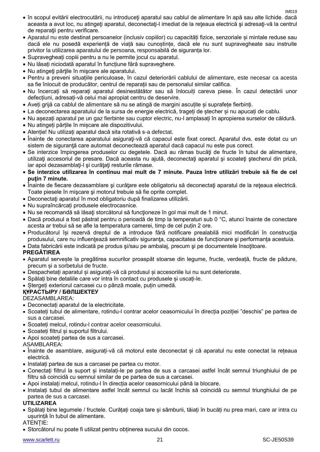IM<sub>019</sub>

- în scopul evitării electrocutării, nu introduceţi aparatul sau cablul de alimentare în apă sau alte lichide. dacă aceasta a avut loc, nu atingeţi aparatul, deconectaţi-l imediat de la reţeaua electrică şi adresaţi-vă la centrul de reparaţii pentru verificare.
- Aparatul nu este destinat persoanelor (inclusiv copiilor) cu capacități fizice, senzoriale și mintale reduse sau dacă ele nu posedă experiență de viață sau cunoștințe, dacă ele nu sunt supravegheate sau instruite privitor la utilizarea aparatului de persoana, responsabilă de siguranța lor.
- Supravegheați copiii pentru a nu le permite jocul cu aparatul.
- Nu lăsați niciodată aparatul în funcțiune fără supraveghere.
- Nu atingeti părțile în miscare ale aparatului.
- Pentru a preveni situațiile periculoase, în cazul deteriorării cablului de alimentare, este necesar ca acesta sa fie înlocuit de producător, centrul de reparații sau de personalul similar califica.
- Nu încercați să reparați aparatul desinestătător sau să înlocuiți careva piese. În cazul detectării unor defecțiuni, adresați-vă celui mai apropiat centru de deservire.
- Aveți grijă ca cablul de alimentare să nu se atingă de margini ascuțite și suprafețe fierbinți.
- La deconectarea aparatului de la sursa de energie electrică, trageți de ștecher și nu apucați de cablu.
- Nu așezați aparatul pe un gaz fierbinte sau cuptor electric, nu-l amplasați în apropierea surselor de căldură.
- Nu atingeți părțile în mișcare ale dispozitivului.
- Atenție! Nu utilizați aparatul dacă sita rotativă s-a defectat.
- Înainte de conectarea aparatului asigurati-vă că capacul este fixat corect. Aparatul dvs. este dotat cu un sistem de siguranță care automat deconectează aparatul dacă capacul nu este pus corect.
- Se interzice împingerea produselor cu degetele. Dacă au rămas bucăți de fructe în tubul de alimentare, utilizați accesoriul de presare. Dacă aceasta nu ajută, deconectați aparatul și scoateți ștecherul din priză, iar apoi dezasamblați-l și curățați resturile rămase.
- **Se interzice utilizarea în continuu mai mult de 7 minute. Pauza între utilizări trebuie să fie de cel puţin 7 minute.**
- Înainte de fiecare dezasamblare şi curăţare este obligatoriu să deconectaţi aparatul de la reţeaua electrică. Toate piesele în mişcare şi motorul trebuie să fie oprite complet.
- Deconectaţi aparatul în mod obligatoriu după finalizarea utilizării.
- Nu supraîncărcați produsele electrocasnice.
- Nu se recomandă să lăsați storcătorul să funcționeze în gol mai mult de 1 minut.
- Dacă produsul a fost păstrat pentru o perioadă de timp la temperaturi sub 0 °C, atunci înainte de conectare acesta ar trebui să se afle la temperatura camerei, timp de cel puțin 2 ore.
- Producătorul își rezervă dreptul de a introduce fără notificare prealabilă mici modificări în construcţia produsului, care nu influențează semnificativ siguranța, capacitatea de funcționare și performanța acestuia.
- Data fabricării este indicată pe produs şi/sau pe ambalaj, precum şi pe documentele însoţitoare.

#### **PREGĂTIREA**

- Aparatul servește la pregătirea sucurilor proaspăt stoarse din legume, fructe, verdeață, fructe de pădure, precum și a sorbetului de fructe.
- Despachetați aparatul și asigurați-vă că produsul și accesoriile lui nu sunt deteriorate.
- Spălați bine detaliile care vor intra în contact cu produsele și uscați-le.
- Stergeți exteriorul carcasei cu o pânză moale, puțin umedă.

#### **ҚҰРАСТЫРУ / БӨЛШЕКТЕУ**

#### DEZASAMBLAREA:

- Deconectați aparatul de la electricitate.
- Scoateți tubul de alimentare, rotindu-l contrar acelor ceasornicului în direcția poziției "deschis" pe partea de sus a carcasei.
- Scoateți melcul, rotindu-l contrar acelor ceasornicului.
- Scoateți filtrul și suportul filtrului.
- Apoi scoateți partea de sus a carcasei.

#### ASAMBLAREA:

- Înainte de asamblare, asigurați-vă că motorul este deconectat și că aparatul nu este conectat la rețeaua electrică.
- Instalați partea de sus a carcasei pe partea cu motor.
- Conectați filtrul la suport și instalați-le pe partea de sus a carcasei astfel încât semnul triunghiului de pe filtru să coincidă cu semnul similar de pe partea de sus a carcasei.
- Apoi instalați melcul, rotindu-l în direcția acelor ceasornicului până la blocare.
- Instalați tubul de alimentare astfel încât semnul cu lacăt închis să coincidă cu semnul triunghiului de pe partea de sus a carcasei.

#### **UTILIZAREA**

 Spălați bine legumele / fructele. Curățați coaja tare și sâmburii, tăiați în bucăți nu prea mari, care ar intra cu usurință în tubul de alimentare.

#### ATENȚIE:

Storcătorul nu poate fi utilizat pentru obținerea sucului din cocos.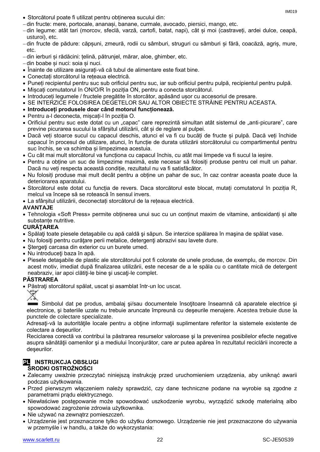- Storcătorul poate fi utilizat pentru obținerea sucului din:
- din fructe: mere, portocale, ananași, banane, curmale, avocado, piersici, mango, etc.
- din legume: atât tari (morcov, sfeclă, varză, cartofi, batat, napi), cât și moi (castraveți, ardei dulce, ceapă, usturoi), etc.
- din fructe de pădure: căpșuni, zmeură, rodii cu sâmburi, struguri cu sâmburi și fără, coacăză, agriș, mure, etc.
- din ierburi și rădăcini: țelină, pătrunjel, mărar, aloe, ghimber, etc.
- din boabe și nuci: soia și nuci.
- Înainte de utilizare asigurați-vă că tubul de alimentare este fixat bine.
- Conectați storcătorul la rețeaua electrică.
- Puneți recipientul pentru suc sub orificiul pentru suc, iar sub orificiul pentru pulpă, recipientul pentru pulpă.
- Mișcați comutatorul în ON/O/R în poziția ON, pentru a conecta storcătorul.
- Introduceți legumele / fructele pregătite în storcător, apăsând ușor cu accesoriul de presare.
- SE INTERZICE FOLOSIREA DEGETELOR SAU ALTOR OBIECTE STRĂINE PENTRU ACEASTA.
- **Introduceți produsele doar când motorul funcționează.**
- Pentru a-l deconecta, mișcați-l în poziția O.
- Orificiul pentru suc este dotat cu un "capac" care reprezintă simultan atât sistemul de "anti-picurare", care previne picurarea sucului la sfârșitul utilizării, cât și de reglare al pulpei.
- Dacă veți stoarce sucul cu capacul deschis, atunci el va fi cu bucăți de fructe și pulpă. Dacă veți închide capacul în procesul de utilizare, atunci, în funcție de durata utilizării storcătorului cu compartimentul pentru suc închis, se va schimba și limpezimea acestuia.
- Cu cât mai mult storcătorul va funcționa cu capacul închis, cu atât mai limpede va fi sucul la ieșire.
- Pentru a obține un suc de limpezime maximă, este necesar să folosiți produse pentru cel mult un pahar. Dacă nu veți respecta această condiție, rezultatul nu va fi satisfăcător.
- Nu folosiți produse mai mult decât pentru a obține un pahar de suc, în caz contrar aceasta poate duce la deteriorarea aparatului.
- Storcătorul este dotat cu funcția de revers. Daca storcătorul este blocat, mutați comutatorul în poziția R, melcul va începe să se rotească în sensul invers.
- La sfârșitul utilizării, deconectați storcătorul de la rețeaua electrică.

#### **AVANTAJE**

 Tehnologia «Soft Press» permite obținerea unui suc cu un conținut maxim de vitamine, antioxidanți și alte substanțe nutritive.

#### **CURĂŢAREA**

- Spălaţi toate piesele detaşabile cu apă caldă şi săpun. Se interzice spălarea în maşina de spălat vase.
- Nu folosiți pentru curățare perii metalice, detergenți abrazivi sau lavete dure.
- Stergeti carcasa din exterior cu un burete umed.
- Nu introduceţi baza în apă.
- Piesele detaşabile de plastic ale storcătorului pot fi colorate de unele produse, de exemplu, de morcov. Din acest motiv, imediat după finalizarea utilizării, este necesar de a le spăla cu o cantitate mică de detergent neabraziv, iar apoi clătiți-le bine și uscați-le complet.

#### **PĂSTRAREA**

Păstraţi storcătorul spălat, uscat şi asamblat într-un loc uscat.



Simbolul dat pe produs, ambalaj si/sau documentele însotitoare înseamnă că aparatele electrice și electronice, şi bateriile uzate nu trebuie aruncate împreună cu deşeurile menajere. Acestea trebuie duse la punctele de colectare specializate.

Adresaţi-vă la autorităţile locale pentru a obţine informaţii suplimentare referitor la sistemele existente de colectare a deşeurilor.

Reciclarea corectă va contribui la păstrarea resurselor valoroase şi la prevenirea posibilelor efecte negative asupra sănătăţii oamenilor şi a mediului înconjurător, care ar putea apărea în rezultatul reciclării incorecte a deşeurilor.

#### **PL INSTRUKCJA OBSŁUGI ŚRODKI OSTROŻNOŚCI**

- Zalecamy uważnie przeczytać niniejszą instrukcję przed uruchomieniem urządzenia, aby uniknąć awarii podczas użytkowania.
- Przed pierwszym włączeniem należy sprawdzić, czy dane techniczne podane na wyrobie są zgodne z parametrami prądu elektrycznego.
- Niewłaściwe postępowanie może spowodować uszkodzenie wyrobu, wyrządzić szkodę materialną albo spowodować zagrożenie zdrowia użytkownika.
- Nie używać na zewnatrz pomieszczeń.
- Urządzenie jest przeznaczone tylko do użytku domowego. Urządzenie nie jest przeznaczone do używania w przemyśle i w handlu, a także do wykorzystania: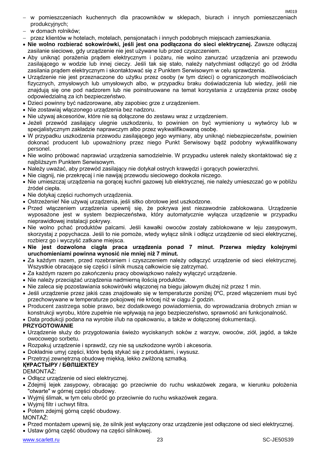- w pomieszczeniach kuchennych dla pracowników w sklepach, biurach i innych pomieszczeniach produkcyjnych;
- w domach rolników;
- przez klientów w hotelach, motelach, pensjonatach i innych podobnych miejscach zamieszkania.
- **Nie wolno rozbierać sokowirówki, jeśli jest ona podłączona do sieci elektrycznej.** Zawsze odłączaj zasilanie sieciowe, gdy urządzenie nie jest używane lub przed czyszczeniem.
- Aby uniknąć porażenia prądem elektrycznym i pożaru, nie wolno zanurzać urządzenia ani przewodu zasilającego w wodzie lub innej cieczy. Jeśli tak się stało, należy natychmiast odłączyć go od źródła zasilania prądem elektrycznym i skontaktować się z Punktem Serwisowym w celu sprawdzenia.
- Urządzenie nie jest przeznaczone do użytku przez osoby (w tym dzieci) o ograniczonych możliwościach fizycznych, zmysłowych lub umysłowych albo, w przypadku braku doświadczenia lub wiedzy, jeśli nie znajdują się one pod nadzorem lub nie poinstruowane na temat korzystania z urządzenia przez osobę odpowiedzialną za ich bezpieczeństwo.
- Dzieci powinny być nadzorowane, aby zapobiec grze z urządzeniem.
- Nie zostawiaj włączonego urządzenia bez nadzoru.
- Nie używaj akcesoriów, które nie są dołączone do zestawu wraz z urządzeniem.
- Jeżeli przewód zasilający ulegnie uszkodzeniu, to powinien on być wymieniony u wytwórcy lub w specjalistycznym zakładzie naprawczym albo przez wykwalifikowaną osobę.
- W przypadku uszkodzenia przewodu zasilającego jego wymiany, aby uniknąć niebezpieczeństw, powinien dokonać producent lub upoważniony przez niego Punkt Serwisowy bądź podobny wykwalifikowany personel.
- Nie wolno próbować naprawiać urządzenia samodzielnie. W przypadku usterek należy skontaktować się z najbliższym Punktem Serwisowym.
- Należy uważać, aby przewód zasilający nie dotykał ostrych krawędzi i gorących powierzchni.
- Nie ciągnij, nie przekręcaj i nie nawijaj przewodu sieciowego dookoła niczego.
- Nie umieszczaj urządzenia na gorącej kuchni gazowej lub elektrycznej, nie należy umieszczać go w pobliżu źródeł ciepła.
- Nie dotykaj części ruchomych urządzenia.
- Ostrzeżenie! Nie używaj urządzenia, jeśli sitko obrotowe jest uszkodzone.
- Przed włączeniem urządzenia upewnij się, że pokrywa jest niezawodnie zablokowana. Urządzenie wyposażone jest w system bezpieczeństwa, który automatycznie wyłącza urządzenie w przypadku nieprawidłowej instalacji pokrywy.
- Nie wolno pchać produktów palcami. Jeśli kawałki owoców zostały zablokowane w leju zasypowym, skorzystaj z popychacza. Jeśli to nie pomoże, wtedy wyłącz silnik i odłącz urządzenie od sieci elektrycznej, rozbierz go i wyczyść zatkane miejsca.
- **Nie jest dozwolona ciągła praca urządzenia ponad 7 minut. Przerwa między kolejnymi uruchomieniami powinna wynosić nie mniej niż 7 minut.**
- Za każdym razem, przed rozebraniem i czyszczeniem należy odłączyć urządzenie od sieci elektrycznej. Wszystkie obracające się części i silnik muszą całkowicie się zatrzymać.
- Za każdym razem po zakończeniu pracy obowiązkowo należy wyłączyć urządzenie.
- Nie należy przeciążać urządzenia nadmierną ilością produktów.
- Nie zaleca się pozostawiania sokowirówki włączonej na biegu jałowym dłużej niż przez 1 min.
- Jeśli urządzenie przez jakiś czas znajdowało się w temperaturze poniżej 0ºC, przed włączeniem musi być przechowywane w temperaturze pokojowej nie krócej niż w ciągu 2 godzin.
- Producent zastrzega sobie prawo, bez dodatkowego powiadomienia, do wprowadzania drobnych zmian w konstrukcji wyrobu, które zupełnie nie wpływają na jego bezpieczeństwo, sprawność ani funkcjonalność.
- Data produkcji podana na wyrobie i/lub na opakowaniu, a także w dołączonej dokumentacji.

### **PRZYGOTOWANIE**

- Urządzenie służy do przygotowania świeżo wyciskanych soków z warzyw, owoców, ziół, jagód, a także owocowego sorbetu.
- Rozpakuj urządzenie i sprawdź, czy nie są uszkodzone wyrób i akcesoria.
- Dokładnie umyj części, które będą stykać się z produktami, i wysusz.

Przetrzyj zewnętrzną obudowę miękką, lekko zwilżoną szmatką.

### **ҚҰРАСТЫРУ / БӨЛШЕКТЕУ**

### DEMONTAŻ:

- Odłącz urządzenie od sieci elektrycznej.
- Zdejmij lejek zasypowy, obracając go przeciwnie do ruchu wskazówek zegara, w kierunku położenia "otwarte" w górnej części obudowy.
- Wyjmij ślimak, w tym celu obróć go przeciwnie do ruchu wskazówek zegara.
- Wyjmij filtr i uchwyt filtra.
- Potem zdejmij górną część obudowy.

MONTAŻ:

- Przed montażem upewnij się, że silnik jest wyłączony oraz urządzenie jest odłączone od sieci elektrycznej.
- Ustaw górną część obudowy na części silnikowej.